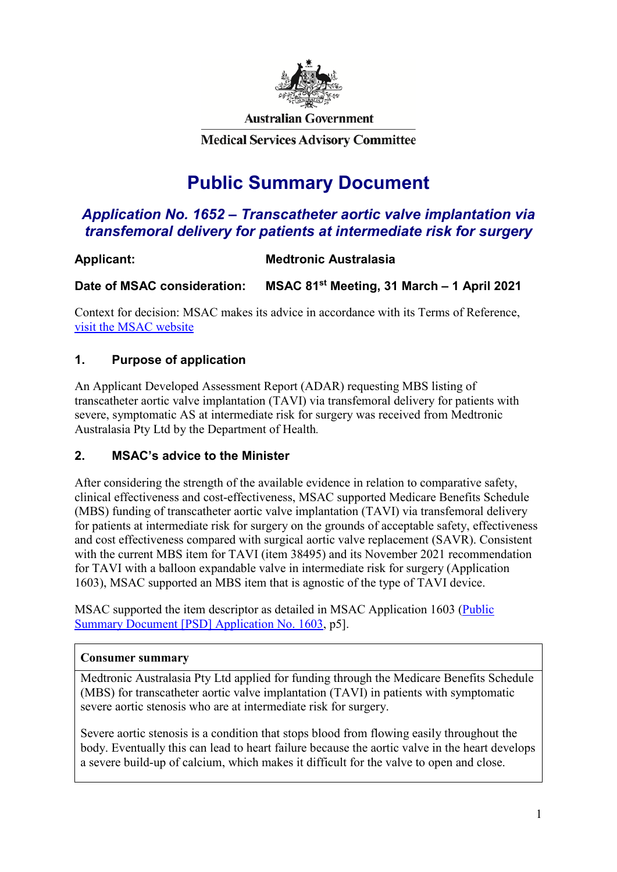

**Australian Government** 

**Medical Services Advisory Committee** 

# **Public Summary Document**

# *Application No. 1652 – Transcatheter aortic valve implantation via transfemoral delivery for patients at intermediate risk for surgery*

### **Applicant: Medtronic Australasia**

**Date of MSAC consideration: MSAC 81st Meeting, 31 March – 1 April 2021**

Context for decision: MSAC makes its advice in accordance with its Terms of Reference, [visit the MSAC website](http://www.msac.gov.au/)

#### **1. Purpose of application**

An Applicant Developed Assessment Report (ADAR) requesting MBS listing of transcatheter aortic valve implantation (TAVI) via transfemoral delivery for patients with severe, symptomatic AS at intermediate risk for surgery was received from Medtronic Australasia Pty Ltd by the Department of Health*.*

#### **2. MSAC's advice to the Minister**

After considering the strength of the available evidence in relation to comparative safety, clinical effectiveness and cost-effectiveness, MSAC supported Medicare Benefits Schedule (MBS) funding of transcatheter aortic valve implantation (TAVI) via transfemoral delivery for patients at intermediate risk for surgery on the grounds of acceptable safety, effectiveness and cost effectiveness compared with surgical aortic valve replacement (SAVR). Consistent with the current MBS item for TAVI (item 38495) and its November 2021 recommendation for TAVI with a balloon expandable valve in intermediate risk for surgery (Application 1603), MSAC supported an MBS item that is agnostic of the type of TAVI device.

MSAC supported the item descriptor as detailed in MSAC Application 1603 [\(Public](http://www.msac.gov.au/internet/msac/publishing.nsf/Content/5C3844FD549800CBCA25849300087D9F/$File/1603%20Final%20PSD_Nov2020_redacted.docx)  [Summary Document \[PSD\] Application No. 1603,](http://www.msac.gov.au/internet/msac/publishing.nsf/Content/5C3844FD549800CBCA25849300087D9F/$File/1603%20Final%20PSD_Nov2020_redacted.docx) p5].

#### **Consumer summary**

Medtronic Australasia Pty Ltd applied for funding through the Medicare Benefits Schedule (MBS) for transcatheter aortic valve implantation (TAVI) in patients with symptomatic severe aortic stenosis who are at intermediate risk for surgery.

Severe aortic stenosis is a condition that stops blood from flowing easily throughout the body. Eventually this can lead to heart failure because the aortic valve in the heart develops a severe build-up of calcium, which makes it difficult for the valve to open and close.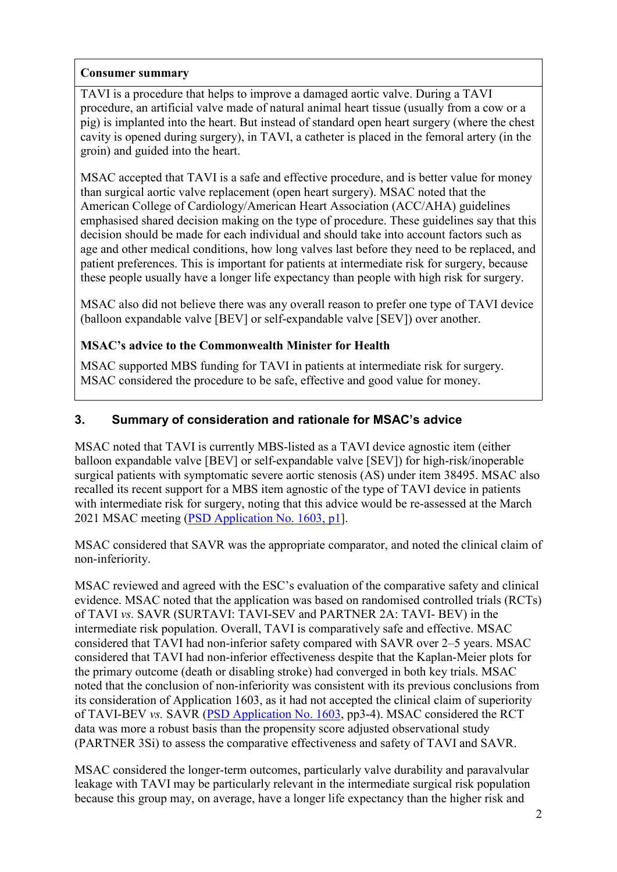#### **Consumer summary**

TAVI is a procedure that helps to improve a damaged aortic valve. During a TAVI procedure, an artificial valve made of natural animal heart tissue (usually from a cow or a pig) is implanted into the heart. But instead of standard open heart surgery (where the chest cavity is opened during surgery), in TAVI, a catheter is placed in the femoral artery (in the groin) and guided into the heart.

MSAC accepted that TAVI is a safe and effective procedure, and is better value for money than surgical aortic valve replacement (open heart surgery). MSAC noted that the American College of Cardiology/American Heart Association (ACC/AHA) guidelines emphasised shared decision making on the type of procedure. These guidelines say that this decision should be made for each individual and should take into account factors such as age and other medical conditions, how long valves last before they need to be replaced, and patient preferences. This is important for patients at intermediate risk for surgery, because these people usually have a longer life expectancy than people with high risk for surgery.

MSAC also did not believe there was any overall reason to prefer one type of TAVI device (balloon expandable valve [BEV] or self-expandable valve [SEV]) over another.

### **MSAC's advice to the Commonwealth Minister for Health**

MSAC supported MBS funding for TAVI in patients at intermediate risk for surgery. MSAC considered the procedure to be safe, effective and good value for money.

### **3. Summary of consideration and rationale for MSAC's advice**

MSAC noted that TAVI is currently MBS-listed as a TAVI device agnostic item (either balloon expandable valve [BEV] or self-expandable valve [SEV]) for high-risk/inoperable surgical patients with symptomatic severe aortic stenosis (AS) under item 38495. MSAC also recalled its recent support for a MBS item agnostic of the type of TAVI device in patients with intermediate risk for surgery, noting that this advice would be re-assessed at the March 2021 MSAC meeting [\(PSD Application No. 1603, p1\]](http://www.msac.gov.au/internet/msac/publishing.nsf/Content/5C3844FD549800CBCA25849300087D9F/$File/1603%20Final%20PSD_Nov2020_redacted.docx).

MSAC considered that SAVR was the appropriate comparator, and noted the clinical claim of non-inferiority.

MSAC reviewed and agreed with the ESC's evaluation of the comparative safety and clinical evidence. MSAC noted that the application was based on randomised controlled trials (RCTs) of TAVI *vs.* SAVR (SURTAVI: TAVI-SEV and PARTNER 2A: TAVI- BEV) in the intermediate risk population. Overall, TAVI is comparatively safe and effective. MSAC considered that TAVI had non-inferior safety compared with SAVR over 2–5 years. MSAC considered that TAVI had non-inferior effectiveness despite that the Kaplan-Meier plots for the primary outcome (death or disabling stroke) had converged in both key trials. MSAC noted that the conclusion of non-inferiority was consistent with its previous conclusions from its consideration of Application 1603, as it had not accepted the clinical claim of superiority of TAVI-BEV *vs.* SAVR [\(PSD Application No. 1603,](http://www.msac.gov.au/internet/msac/publishing.nsf/Content/5C3844FD549800CBCA25849300087D9F/$File/1603%20Final%20PSD_Nov2020_redacted.docx) pp3-4). MSAC considered the RCT data was more a robust basis than the propensity score adjusted observational study (PARTNER 3Si) to assess the comparative effectiveness and safety of TAVI and SAVR.

MSAC considered the longer-term outcomes, particularly valve durability and paravalvular leakage with TAVI may be particularly relevant in the intermediate surgical risk population because this group may, on average, have a longer life expectancy than the higher risk and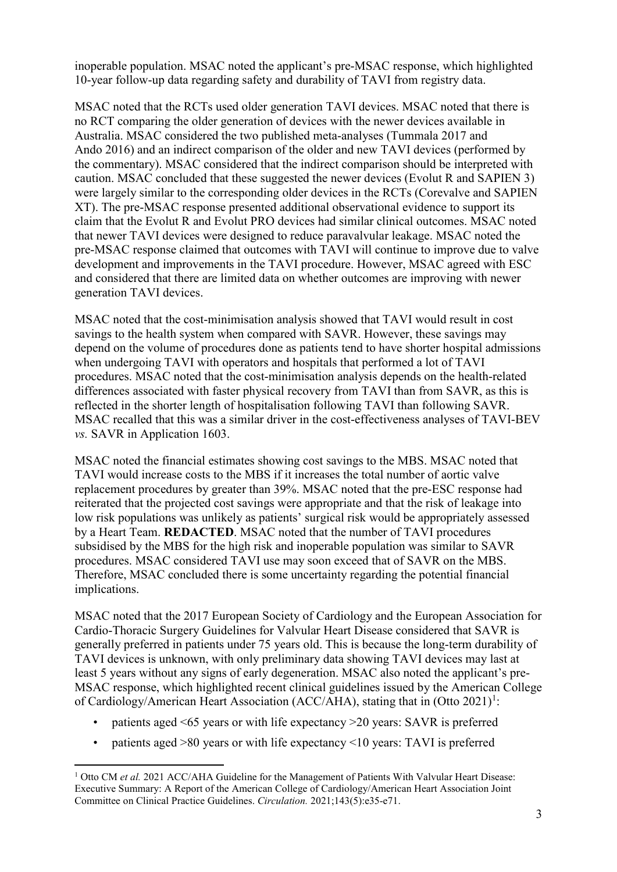inoperable population. MSAC noted the applicant's pre-MSAC response, which highlighted 10-year follow-up data regarding safety and durability of TAVI from registry data.

MSAC noted that the RCTs used older generation TAVI devices. MSAC noted that there is no RCT comparing the older generation of devices with the newer devices available in Australia. MSAC considered the two published meta-analyses (Tummala 2017 and Ando 2016) and an indirect comparison of the older and new TAVI devices (performed by the commentary). MSAC considered that the indirect comparison should be interpreted with caution. MSAC concluded that these suggested the newer devices (Evolut R and SAPIEN 3) were largely similar to the corresponding older devices in the RCTs (Corevalve and SAPIEN XT). The pre-MSAC response presented additional observational evidence to support its claim that the Evolut R and Evolut PRO devices had similar clinical outcomes. MSAC noted that newer TAVI devices were designed to reduce paravalvular leakage. MSAC noted the pre-MSAC response claimed that outcomes with TAVI will continue to improve due to valve development and improvements in the TAVI procedure. However, MSAC agreed with ESC and considered that there are limited data on whether outcomes are improving with newer generation TAVI devices.

MSAC noted that the cost-minimisation analysis showed that TAVI would result in cost savings to the health system when compared with SAVR. However, these savings may depend on the volume of procedures done as patients tend to have shorter hospital admissions when undergoing TAVI with operators and hospitals that performed a lot of TAVI procedures. MSAC noted that the cost-minimisation analysis depends on the health-related differences associated with faster physical recovery from TAVI than from SAVR, as this is reflected in the shorter length of hospitalisation following TAVI than following SAVR. MSAC recalled that this was a similar driver in the cost-effectiveness analyses of TAVI-BEV *vs.* SAVR in Application 1603.

MSAC noted the financial estimates showing cost savings to the MBS. MSAC noted that TAVI would increase costs to the MBS if it increases the total number of aortic valve replacement procedures by greater than 39%. MSAC noted that the pre-ESC response had reiterated that the projected cost savings were appropriate and that the risk of leakage into low risk populations was unlikely as patients' surgical risk would be appropriately assessed by a Heart Team. **REDACTED**. MSAC noted that the number of TAVI procedures subsidised by the MBS for the high risk and inoperable population was similar to SAVR procedures. MSAC considered TAVI use may soon exceed that of SAVR on the MBS. Therefore, MSAC concluded there is some uncertainty regarding the potential financial implications.

MSAC noted that the 2017 European Society of Cardiology and the European Association for Cardio-Thoracic Surgery Guidelines for Valvular Heart Disease considered that SAVR is generally preferred in patients under 75 years old. This is because the long-term durability of TAVI devices is unknown, with only preliminary data showing TAVI devices may last at least 5 years without any signs of early degeneration. MSAC also noted the applicant's pre-MSAC response, which highlighted recent clinical guidelines issued by the American College of Cardiology/American Heart Association (ACC/AHA), stating that in (Otto 202[1](#page-2-0))<sup>1</sup>:

- patients aged  $\leq 65$  years or with life expectancy  $\geq 20$  years: SAVR is preferred
- patients aged >80 years or with life expectancy <10 years: TAVI is preferred

<span id="page-2-0"></span><sup>&</sup>lt;sup>1</sup> Otto CM *et al.* 2021 ACC/AHA Guideline for the Management of Patients With Valvular Heart Disease: Executive Summary: A Report of the American College of Cardiology/American Heart Association Joint Committee on Clinical Practice Guidelines. *Circulation.* 2021;143(5):e35-e71.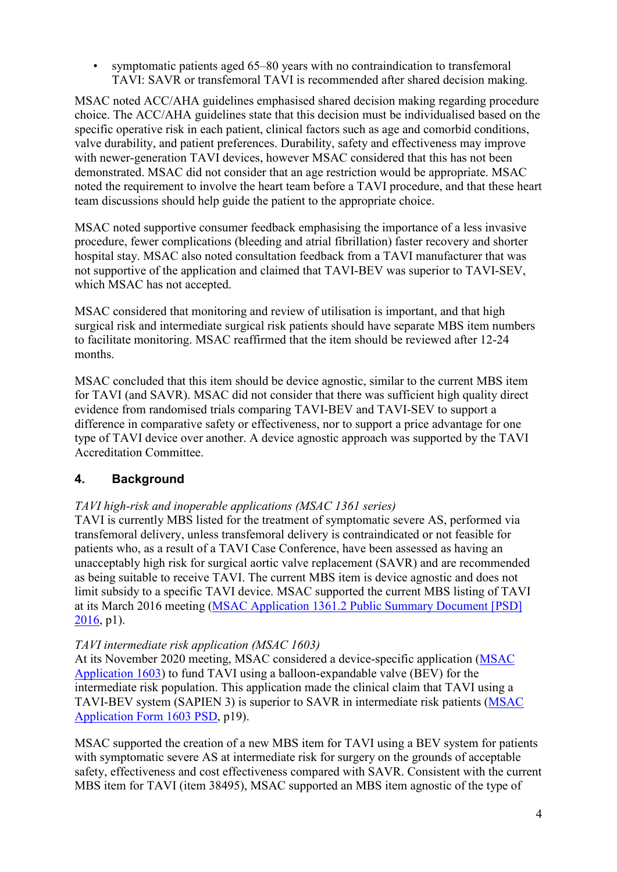• symptomatic patients aged 65–80 years with no contraindication to transfemoral TAVI: SAVR or transfemoral TAVI is recommended after shared decision making.

MSAC noted ACC/AHA guidelines emphasised shared decision making regarding procedure choice. The ACC/AHA guidelines state that this decision must be individualised based on the specific operative risk in each patient, clinical factors such as age and comorbid conditions, valve durability, and patient preferences. Durability, safety and effectiveness may improve with newer-generation TAVI devices, however MSAC considered that this has not been demonstrated. MSAC did not consider that an age restriction would be appropriate. MSAC noted the requirement to involve the heart team before a TAVI procedure, and that these heart team discussions should help guide the patient to the appropriate choice.

MSAC noted supportive consumer feedback emphasising the importance of a less invasive procedure, fewer complications (bleeding and atrial fibrillation) faster recovery and shorter hospital stay. MSAC also noted consultation feedback from a TAVI manufacturer that was not supportive of the application and claimed that TAVI-BEV was superior to TAVI-SEV, which MSAC has not accepted.

MSAC considered that monitoring and review of utilisation is important, and that high surgical risk and intermediate surgical risk patients should have separate MBS item numbers to facilitate monitoring. MSAC reaffirmed that the item should be reviewed after 12-24 months.

MSAC concluded that this item should be device agnostic, similar to the current MBS item for TAVI (and SAVR). MSAC did not consider that there was sufficient high quality direct evidence from randomised trials comparing TAVI-BEV and TAVI-SEV to support a difference in comparative safety or effectiveness, nor to support a price advantage for one type of TAVI device over another. A device agnostic approach was supported by the TAVI Accreditation Committee.

### **4. Background**

### *TAVI high-risk and inoperable applications (MSAC 1361 series)*

TAVI is currently MBS listed for the treatment of symptomatic severe AS, performed via transfemoral delivery, unless transfemoral delivery is contraindicated or not feasible for patients who, as a result of a TAVI Case Conference, have been assessed as having an unacceptably high risk for surgical aortic valve replacement (SAVR) and are recommended as being suitable to receive TAVI. The current MBS item is device agnostic and does not limit subsidy to a specific TAVI device. MSAC supported the current MBS listing of TAVI at its March 2016 meeting [\(MSAC Application 1361.2 Public Summary Document \[PSD\]](http://www.msac.gov.au/internet/msac/publishing.nsf/Content/1361.2-public)  [2016,](http://www.msac.gov.au/internet/msac/publishing.nsf/Content/1361.2-public) p1).

#### *TAVI intermediate risk application (MSAC 1603)*

At its November 2020 meeting, MSAC considered a device-specific application [\(MSAC](http://www.msac.gov.au/internet/msac/publishing.nsf/Content/1603-public)  [Application 1603\)](http://www.msac.gov.au/internet/msac/publishing.nsf/Content/1603-public) to fund TAVI using a balloon-expandable valve (BEV) for the intermediate risk population. This application made the clinical claim that TAVI using a TAVI-BEV system (SAPIEN 3) is superior to SAVR in intermediate risk patients [\(MSAC](http://www.msac.gov.au/internet/msac/publishing.nsf/Content/5C3844FD549800CBCA25849300087D9F/$File/1603%20Final%20PSD_Nov2020_redacted.pdf)  [Application Form 1603 PSD,](http://www.msac.gov.au/internet/msac/publishing.nsf/Content/5C3844FD549800CBCA25849300087D9F/$File/1603%20Final%20PSD_Nov2020_redacted.pdf) p19).

MSAC supported the creation of a new MBS item for TAVI using a BEV system for patients with symptomatic severe AS at intermediate risk for surgery on the grounds of acceptable safety, effectiveness and cost effectiveness compared with SAVR. Consistent with the current MBS item for TAVI (item 38495), MSAC supported an MBS item agnostic of the type of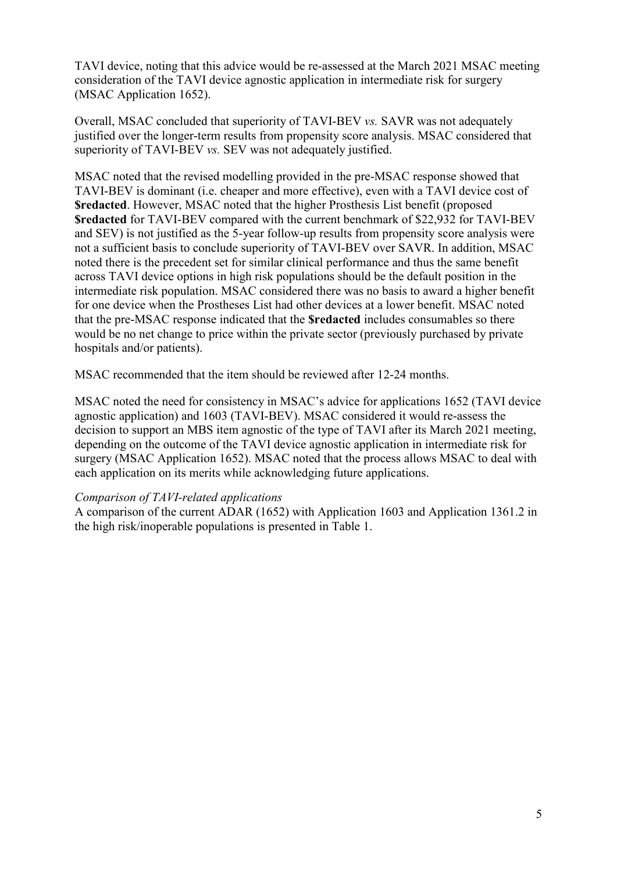TAVI device, noting that this advice would be re-assessed at the March 2021 MSAC meeting consideration of the TAVI device agnostic application in intermediate risk for surgery (MSAC Application 1652).

Overall, MSAC concluded that superiority of TAVI-BEV *vs.* SAVR was not adequately justified over the longer-term results from propensity score analysis. MSAC considered that superiority of TAVI-BEV *vs.* SEV was not adequately justified.

MSAC noted that the revised modelling provided in the pre-MSAC response showed that TAVI-BEV is dominant (i.e. cheaper and more effective), even with a TAVI device cost of **\$redacted**. However, MSAC noted that the higher Prosthesis List benefit (proposed **\$redacted** for TAVI-BEV compared with the current benchmark of \$22,932 for TAVI-BEV and SEV) is not justified as the 5-year follow-up results from propensity score analysis were not a sufficient basis to conclude superiority of TAVI-BEV over SAVR. In addition, MSAC noted there is the precedent set for similar clinical performance and thus the same benefit across TAVI device options in high risk populations should be the default position in the intermediate risk population. MSAC considered there was no basis to award a higher benefit for one device when the Prostheses List had other devices at a lower benefit. MSAC noted that the pre-MSAC response indicated that the **\$redacted** includes consumables so there would be no net change to price within the private sector (previously purchased by private hospitals and/or patients).

MSAC recommended that the item should be reviewed after 12-24 months.

MSAC noted the need for consistency in MSAC's advice for applications 1652 (TAVI device agnostic application) and 1603 (TAVI-BEV). MSAC considered it would re-assess the decision to support an MBS item agnostic of the type of TAVI after its March 2021 meeting, depending on the outcome of the TAVI device agnostic application in intermediate risk for surgery (MSAC [Application 1652\)](http://www.msac.gov.au/internet/msac/publishing.nsf/Content/1652-public). MSAC noted that the process allows MSAC to deal with each application on its merits while acknowledging future applications.

#### *Comparison of TAVI-related applications*

A comparison of the current ADAR (1652) with Application 1603 and Application 1361.2 in the high risk/inoperable populations is presented in [Table 1.](#page-5-0)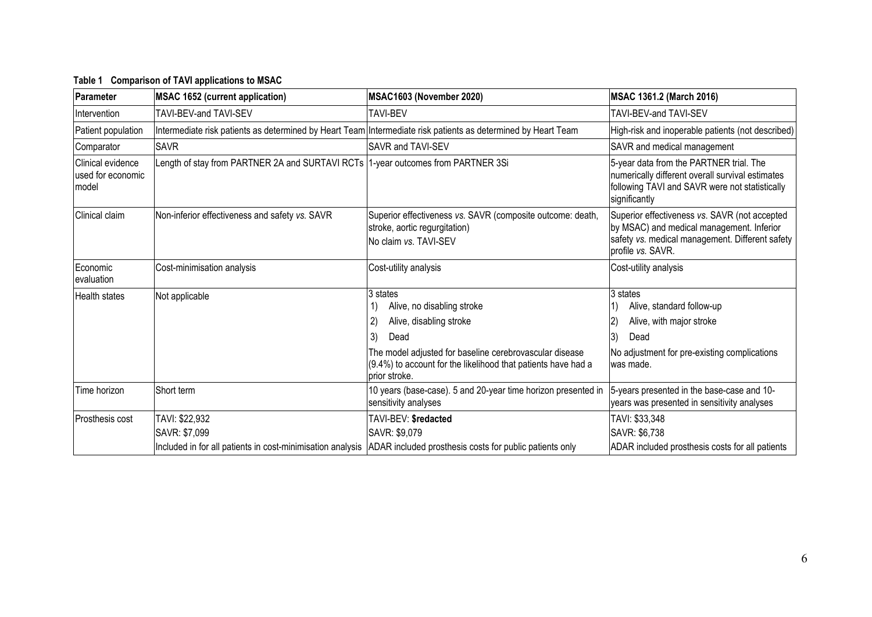<span id="page-5-0"></span>

| Parameter                                       | <b>MSAC 1652 (current application)</b>                                           | MSAC1603 (November 2020)                                                                                                                    | MSAC 1361.2 (March 2016)                                                                                                                                           |
|-------------------------------------------------|----------------------------------------------------------------------------------|---------------------------------------------------------------------------------------------------------------------------------------------|--------------------------------------------------------------------------------------------------------------------------------------------------------------------|
| Intervention                                    | TAVI-BEV-and TAVI-SEV                                                            | TAVI-BEV                                                                                                                                    | TAVI-BEV-and TAVI-SEV                                                                                                                                              |
| Patient population                              |                                                                                  | Intermediate risk patients as determined by Heart Team Intermediate risk patients as determined by Heart Team                               | High-risk and inoperable patients (not described)                                                                                                                  |
| Comparator                                      | <b>SAVR</b>                                                                      | SAVR and TAVI-SEV                                                                                                                           | SAVR and medical management                                                                                                                                        |
| Clinical evidence<br>used for economic<br>model | Length of stay from PARTNER 2A and SURTAVI RCTs 1-year outcomes from PARTNER 3Si |                                                                                                                                             | 5-year data from the PARTNER trial. The<br>numerically different overall survival estimates<br>following TAVI and SAVR were not statistically<br>significantly     |
| Clinical claim                                  | Non-inferior effectiveness and safety vs. SAVR                                   | Superior effectiveness vs. SAVR (composite outcome: death,<br>stroke, aortic regurgitation)<br>No claim vs. TAVI-SEV                        | Superior effectiveness vs. SAVR (not accepted<br>by MSAC) and medical management. Inferior<br>safety vs. medical management. Different safety<br>profile vs. SAVR. |
| Economic<br>evaluation                          | Cost-minimisation analysis                                                       | Cost-utility analysis                                                                                                                       | Cost-utility analysis                                                                                                                                              |
| <b>Health states</b>                            | Not applicable                                                                   | 3 states<br>Alive, no disabling stroke                                                                                                      | 3 states<br>Alive, standard follow-up                                                                                                                              |
|                                                 |                                                                                  | Alive, disabling stroke                                                                                                                     | Alive, with major stroke                                                                                                                                           |
|                                                 |                                                                                  | Dead<br>3)                                                                                                                                  | 3)<br>Dead                                                                                                                                                         |
|                                                 |                                                                                  | The model adjusted for baseline cerebrovascular disease<br>$(9.4%)$ to account for the likelihood that patients have had a<br>prior stroke. | No adjustment for pre-existing complications<br>lwas made.                                                                                                         |
| Time horizon                                    | Short term                                                                       | 10 years (base-case). 5 and 20-year time horizon presented in<br>sensitivity analyses                                                       | 5-years presented in the base-case and 10-<br>years was presented in sensitivity analyses                                                                          |
| Prosthesis cost                                 | TAVI: \$22,932                                                                   | TAVI-BEV: \$redacted                                                                                                                        | TAVI: \$33,348                                                                                                                                                     |
|                                                 | SAVR: \$7,099                                                                    | SAVR: \$9,079                                                                                                                               | SAVR: \$6,738                                                                                                                                                      |
|                                                 |                                                                                  | Included in for all patients in cost-minimisation analysis ADAR included prosthesis costs for public patients only                          | ADAR included prosthesis costs for all patients                                                                                                                    |

#### **Table 1 Comparison of TAVI applications to MSAC**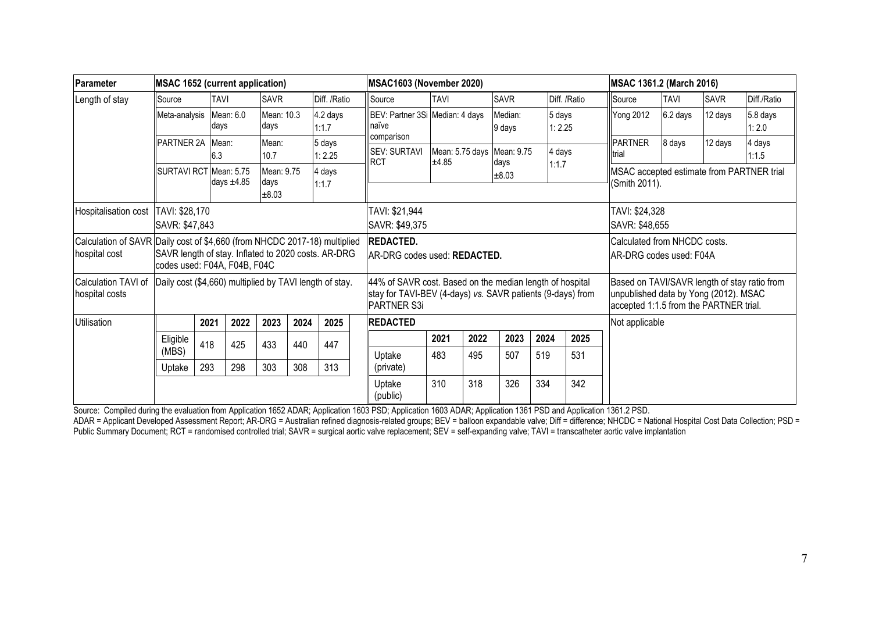| Parameter                                                                                  | <b>MSAC 1652 (current application)</b>                                              |              |                 |                             |                                  |                   | <b>MSAC1603 (November 2020)</b>                                                                                                       |             |      |                                    |                                  |                  |                                                            | MSAC 1361.2 (March 2016)                                                                                                        |             |                   |  |
|--------------------------------------------------------------------------------------------|-------------------------------------------------------------------------------------|--------------|-----------------|-----------------------------|----------------------------------|-------------------|---------------------------------------------------------------------------------------------------------------------------------------|-------------|------|------------------------------------|----------------------------------|------------------|------------------------------------------------------------|---------------------------------------------------------------------------------------------------------------------------------|-------------|-------------------|--|
| Length of stay                                                                             | Source                                                                              | <b>TAVI</b>  |                 | <b>SAVR</b>                 |                                  | Diff. /Ratio      | Source                                                                                                                                | <b>TAVI</b> |      | <b>SAVR</b>                        |                                  | Diff. /Ratio     | Source                                                     | <b>TAVI</b>                                                                                                                     | <b>SAVR</b> | Diff./Ratio       |  |
|                                                                                            | Meta-analysis                                                                       | days         | Mean: 6.0       | Mean: 10.3<br>days          |                                  | 4.2 days<br>1:1.7 | BEV: Partner 3Si Median: 4 days<br>naïve                                                                                              |             |      | Median:<br>9 days                  |                                  | 5 days<br>1:2.25 | <b>Yong 2012</b>                                           | 6.2 days                                                                                                                        | 12 days     | 5.8 days<br>1:2.0 |  |
|                                                                                            | PARTNER 2A                                                                          | Mean:<br>6.3 |                 | Mean:<br>10.7               |                                  | 5 days<br>1:2.25  | comparison<br><b>SEV: SURTAVI</b><br><b>RCT</b>                                                                                       | ±4.85       |      | Mean: 5.75 days Mean: 9.75<br>days |                                  | 4 days           | <b>PARTNER</b><br><b>I</b> trial                           | 8 days                                                                                                                          | 12 days     | 4 days<br>1:1.5   |  |
|                                                                                            | SURTAVI RCT Mean: 5.75                                                              |              | days $\pm 4.85$ | Mean: 9.75<br>days<br>±8.03 |                                  | 4 days<br>1:1.7   |                                                                                                                                       |             |      | ±8.03                              |                                  | 1:1.7            | MSAC accepted estimate from PARTNER trial<br>(Smith 2011). |                                                                                                                                 |             |                   |  |
| Hospitalisation cost                                                                       | TAVI: \$28,170<br>SAVR: \$47,843                                                    |              |                 |                             | TAVI: \$21,944<br>SAVR: \$49,375 |                   |                                                                                                                                       |             |      |                                    | TAVI: \$24,328<br>SAVR: \$48,655 |                  |                                                            |                                                                                                                                 |             |                   |  |
| Calculation of SAVR Daily cost of \$4,660 (from NHCDC 2017-18) multiplied<br>hospital cost | SAVR length of stay. Inflated to 2020 costs. AR-DRG<br>codes used: F04A, F04B, F04C |              |                 |                             |                                  |                   | <b>REDACTED.</b><br>Calculated from NHCDC costs.<br>AR-DRG codes used: REDACTED.<br>IAR-DRG codes used: F04A                          |             |      |                                    |                                  |                  |                                                            |                                                                                                                                 |             |                   |  |
| Calculation TAVI of<br>hospital costs                                                      | Daily cost (\$4,660) multiplied by TAVI length of stay.                             |              |                 |                             |                                  |                   | 44% of SAVR cost. Based on the median length of hospital<br>stay for TAVI-BEV (4-days) vs. SAVR patients (9-days) from<br>PARTNER S3i |             |      |                                    |                                  |                  |                                                            | Based on TAVI/SAVR length of stay ratio from<br>unpublished data by Yong (2012). MSAC<br>accepted 1:1.5 from the PARTNER trial. |             |                   |  |
| Utilisation                                                                                |                                                                                     | 2021         | 2022            | 2023                        | 2024                             | 2025              | <b>REDACTED</b>                                                                                                                       |             |      |                                    |                                  |                  | Not applicable                                             |                                                                                                                                 |             |                   |  |
|                                                                                            | Eligible<br>(MBS)                                                                   | 418          | 425             | 433                         | 440                              | 447               |                                                                                                                                       | 2021<br>483 | 2022 | 2023<br>507                        | 2024                             | 2025<br>531      |                                                            |                                                                                                                                 |             |                   |  |
|                                                                                            | Uptake                                                                              | 293          | 298             | 303                         | 308                              | 313               | Uptake<br>(private)                                                                                                                   |             | 495  |                                    | 519                              |                  |                                                            |                                                                                                                                 |             |                   |  |
|                                                                                            |                                                                                     |              |                 |                             |                                  |                   | Uptake<br>(public)                                                                                                                    | 310         | 318  | 326                                | 334                              | 342              |                                                            |                                                                                                                                 |             |                   |  |

Source: Compiled during the evaluation from Application 1652 ADAR; Application 1603 PSD; Application 1360, ADAR; Application 1361 PSD and Application 1361.2 PSD.

ADAR = Applicant Developed Assessment Report; AR-DRG = Australian refined diagnosis-related groups; BEV = balloon expandable valve; Diff = difference; NHCDC = National Hospital Cost Data Collection; PSD = Public Summary Document; RCT = randomised controlled trial; SAVR = surgical aortic valve replacement; SEV = self-expanding valve; TAVI = transcatheter aortic valve implantation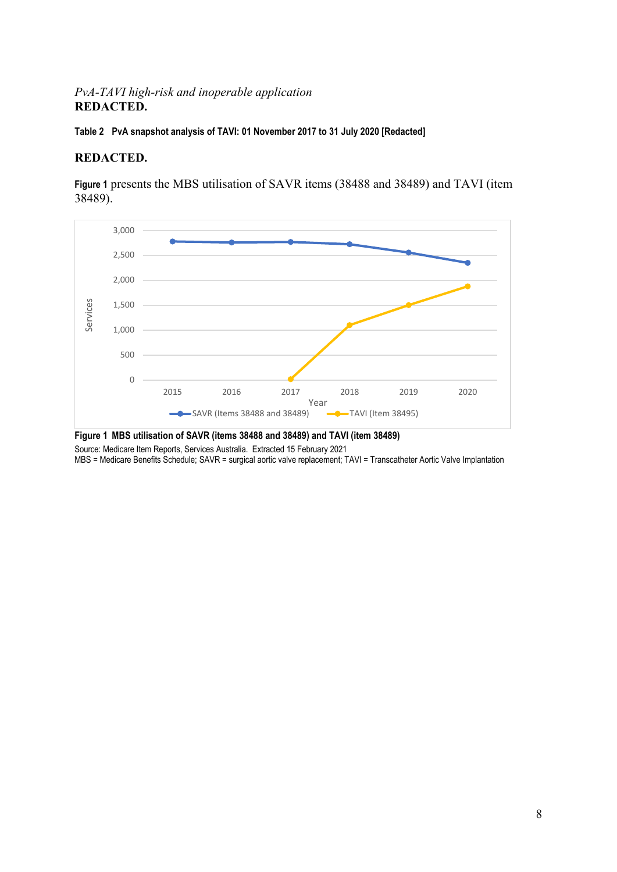#### *PvA-TAVI high-risk and inoperable application* **REDACTED.**

**Table 2 PvA snapshot analysis of TAVI: 01 November 2017 to 31 July 2020 [Redacted]**

#### **REDACTED.**

**[Figure 1](#page-7-0)** presents the MBS utilisation of SAVR items (38488 and 38489) and TAVI (item 38489).



<span id="page-7-0"></span>**Figure 1 MBS utilisation of SAVR (items 38488 and 38489) and TAVI (item 38489)** 

Source: Medicare Item Reports, Services Australia. Extracted 15 February 2021

MBS = Medicare Benefits Schedule; SAVR = surgical aortic valve replacement; TAVI = Transcatheter Aortic Valve Implantation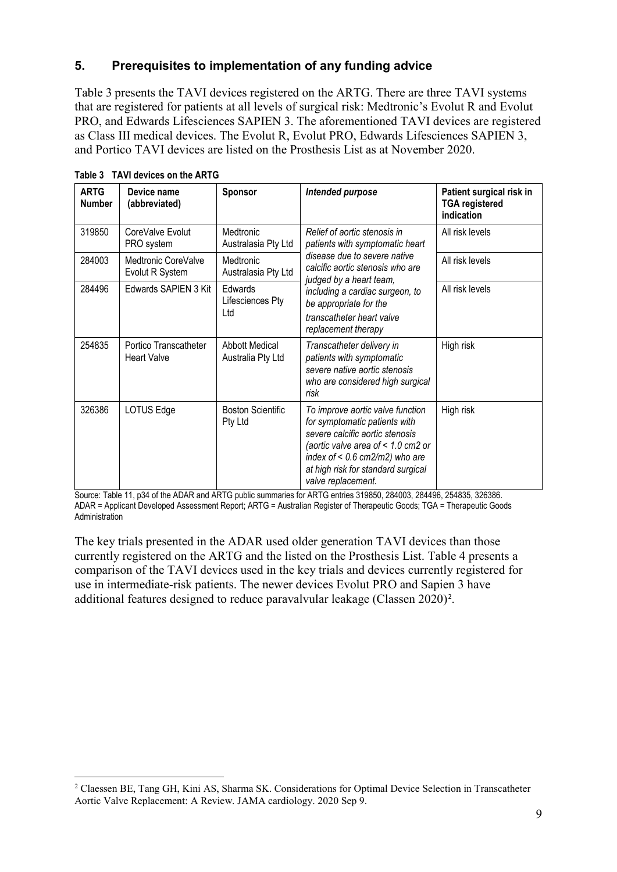# **5. Prerequisites to implementation of any funding advice**

[Table 3](#page-8-0) presents the TAVI devices registered on the ARTG. There are three TAVI systems that are registered for patients at all levels of surgical risk: Medtronic's Evolut R and Evolut PRO, and Edwards Lifesciences SAPIEN 3. The aforementioned TAVI devices are registered as Class III medical devices. The Evolut R, Evolut PRO, Edwards Lifesciences SAPIEN 3, and Portico TAVI devices are listed on the Prosthesis List as at November 2020.

| <b>ARTG</b><br><b>Number</b> | Device name<br>(abbreviated)                | Sponsor                                    | Intended purpose                                                                                                                                                                                                                           | Patient surgical risk in<br><b>TGA</b> registered<br>indication |
|------------------------------|---------------------------------------------|--------------------------------------------|--------------------------------------------------------------------------------------------------------------------------------------------------------------------------------------------------------------------------------------------|-----------------------------------------------------------------|
| 319850                       | CoreValve Evolut<br>PRO system              | Medtronic<br>Australasia Pty Ltd           | Relief of aortic stenosis in<br>patients with symptomatic heart                                                                                                                                                                            | All risk levels                                                 |
| 284003                       | Medtronic CoreValve<br>Evolut R System      | Medtronic<br>Australasia Pty Ltd           | disease due to severe native<br>calcific aortic stenosis who are<br>judged by a heart team,                                                                                                                                                | All risk levels                                                 |
| 284496                       | Edwards SAPIEN 3 Kit                        | Edwards<br>Lifesciences Pty<br>Ltd         | including a cardiac surgeon, to<br>be appropriate for the<br>transcatheter heart valve<br>replacement therapy                                                                                                                              | All risk levels                                                 |
| 254835                       | Portico Transcatheter<br><b>Heart Valve</b> | <b>Abbott Medical</b><br>Australia Pty Ltd | Transcatheter delivery in<br>patients with symptomatic<br>severe native aortic stenosis<br>who are considered high surgical<br>risk                                                                                                        | High risk                                                       |
| 326386                       | LOTUS Edge                                  | <b>Boston Scientific</b><br>Pty Ltd        | To improve aortic valve function<br>for symptomatic patients with<br>severe calcific aortic stenosis<br>(aortic valve area of < 1.0 cm2 or<br>index of $< 0.6$ cm2/m2) who are<br>at high risk for standard surgical<br>valve replacement. | High risk                                                       |

<span id="page-8-0"></span>**Table 3 TAVI devices on the ARTG**

Source: Table 11, p34 of the ADAR and ARTG public summaries for ARTG entries 319850, 284003, 284496, 254835, 326386. ADAR = Applicant Developed Assessment Report; ARTG = Australian Register of Therapeutic Goods; TGA = Therapeutic Goods Administration

The key trials presented in the ADAR used older generation TAVI devices than those currently registered on the ARTG and the listed on the Prosthesis List. [Table](#page-9-0) 4 presents a comparison of the TAVI devices used in the key trials and devices currently registered for use in intermediate-risk patients. The newer devices Evolut PRO and Sapien 3 have additional features designed to reduce paravalvular leakage (Classen [2](#page-8-1)020)<sup>2</sup>.

<span id="page-8-1"></span> <sup>2</sup> Claessen BE, Tang GH, Kini AS, Sharma SK. Considerations for Optimal Device Selection in Transcatheter Aortic Valve Replacement: A Review. JAMA cardiology. 2020 Sep 9.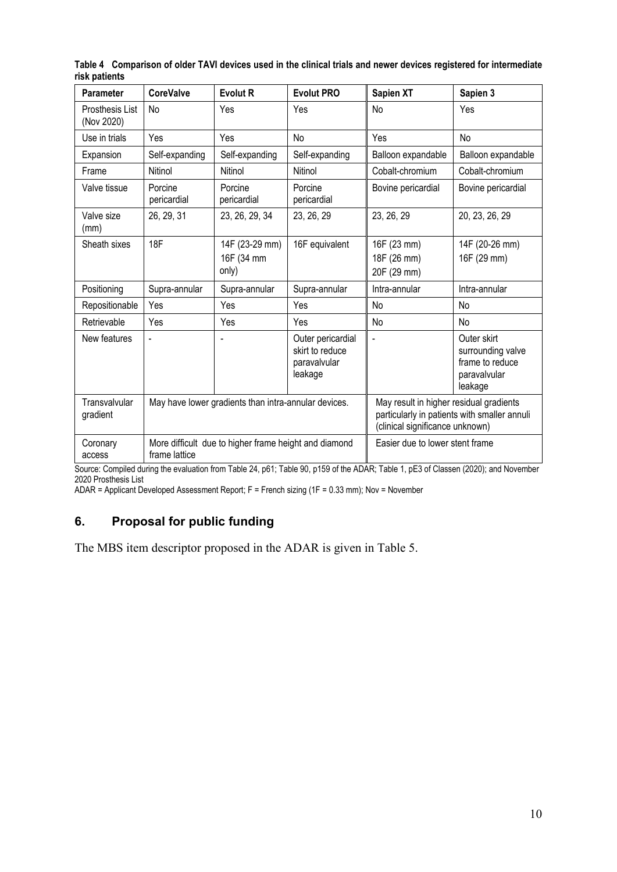| <b>Parameter</b>              | <b>CoreValve</b>       | <b>Evolut R</b>                                       | <b>Evolut PRO</b>                                               | Sapien XT                                                                  | Sapien 3                                                                       |  |
|-------------------------------|------------------------|-------------------------------------------------------|-----------------------------------------------------------------|----------------------------------------------------------------------------|--------------------------------------------------------------------------------|--|
| Prosthesis List<br>(Nov 2020) | No                     | Yes                                                   | Yes                                                             | No                                                                         | Yes                                                                            |  |
| Use in trials                 | Yes                    | Yes                                                   | No                                                              | Yes                                                                        | No                                                                             |  |
| Expansion                     | Self-expanding         | Self-expanding                                        | Self-expanding                                                  | Balloon expandable                                                         | Balloon expandable                                                             |  |
| Frame                         | Nitinol                | Nitinol                                               | Nitinol                                                         | Cobalt-chromium                                                            | Cobalt-chromium                                                                |  |
| Valve tissue                  | Porcine<br>pericardial | Porcine<br>pericardial                                | Porcine<br>pericardial                                          | Bovine pericardial                                                         | Bovine pericardial                                                             |  |
| Valve size<br>(mm)            | 26, 29, 31             | 23, 26, 29, 34                                        | 23, 26, 29                                                      | 23, 26, 29                                                                 | 20, 23, 26, 29                                                                 |  |
| Sheath sixes                  | 18F                    | 14F (23-29 mm)<br>16F (34 mm<br>only)                 | 16F equivalent                                                  | 16F (23 mm)<br>18F (26 mm)<br>20F (29 mm)                                  | 14F (20-26 mm)<br>16F (29 mm)                                                  |  |
| Positioning                   | Supra-annular          | Supra-annular                                         | Supra-annular                                                   | Intra-annular                                                              | Intra-annular                                                                  |  |
| Repositionable                | Yes                    | Yes                                                   | Yes                                                             | No                                                                         | No                                                                             |  |
| Retrievable                   | Yes                    | Yes                                                   | Yes                                                             | <b>No</b>                                                                  | No                                                                             |  |
| New features                  | $\overline{a}$         |                                                       | Outer pericardial<br>skirt to reduce<br>paravalvular<br>leakage | L.                                                                         | Outer skirt<br>surrounding valve<br>frame to reduce<br>paravalvular<br>leakage |  |
| Transvalvular<br>gradient     |                        | May have lower gradients than intra-annular devices.  |                                                                 | May result in higher residual gradients<br>(clinical significance unknown) | particularly in patients with smaller annuli                                   |  |
| Coronary<br>access            | frame lattice          | More difficult due to higher frame height and diamond |                                                                 | Easier due to lower stent frame                                            |                                                                                |  |

<span id="page-9-0"></span>**Table 4 Comparison of older TAVI devices used in the clinical trials and newer devices registered for intermediate risk patients**

Source: Compiled during the evaluation from Table 24, p61; Table 90, p159 of the ADAR; Table 1, pE3 of Classen (2020); and November 2020 Prosthesis List

ADAR = Applicant Developed Assessment Report; F = French sizing (1F = 0.33 mm); Nov = November

### **6. Proposal for public funding**

The MBS item descriptor proposed in the ADAR is given in [Table 5.](#page-10-0)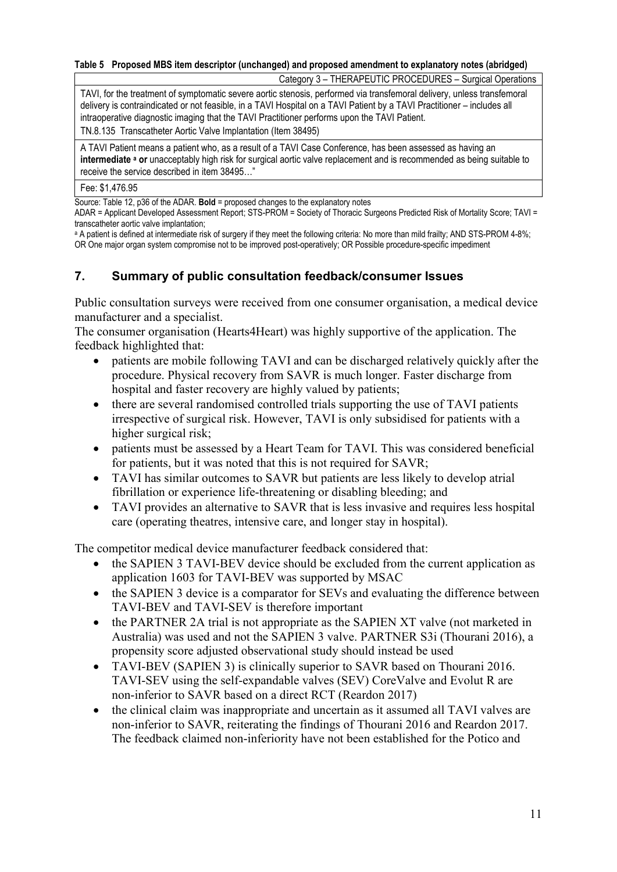#### <span id="page-10-0"></span>**Table 5 Proposed MBS item descriptor (unchanged) and proposed amendment to explanatory notes (abridged)**

Category 3 – THERAPEUTIC PROCEDURES – Surgical Operations

TAVI, for the treatment of symptomatic severe aortic stenosis, performed via transfemoral delivery, unless transfemoral delivery is contraindicated or not feasible, in a TAVI Hospital on a TAVI Patient by a TAVI Practitioner – includes all intraoperative diagnostic imaging that the TAVI Practitioner performs upon the TAVI Patient.

TN.8.135 Transcatheter Aortic Valve Implantation (Item 38495)

A TAVI Patient means a patient who, as a result of a TAVI Case Conference, has been assessed as having an **intermediate a or** unacceptably high risk for surgical aortic valve replacement and is recommended as being suitable to receive the service described in item 38495…"

#### Fee: \$1,476.95

Source: Table 12, p36 of the ADAR. **Bold** = proposed changes to the explanatory notes

ADAR = Applicant Developed Assessment Report; STS-PROM = Society of Thoracic Surgeons Predicted Risk of Mortality Score; TAVI = transcatheter aortic valve implantation;

<sup>a</sup> A patient is defined at intermediate risk of surgery if they meet the following criteria: No more than mild frailty; AND STS-PROM 4-8%; OR One major organ system compromise not to be improved post-operatively; OR Possible procedure-specific impediment

#### **7. Summary of public consultation feedback/consumer Issues**

Public consultation surveys were received from one consumer organisation, a medical device manufacturer and a specialist.

The consumer organisation (Hearts4Heart) was highly supportive of the application. The feedback highlighted that:

- patients are mobile following TAVI and can be discharged relatively quickly after the procedure. Physical recovery from SAVR is much longer. Faster discharge from hospital and faster recovery are highly valued by patients;
- there are several randomised controlled trials supporting the use of TAVI patients irrespective of surgical risk. However, TAVI is only subsidised for patients with a higher surgical risk;
- patients must be assessed by a Heart Team for TAVI. This was considered beneficial for patients, but it was noted that this is not required for SAVR;
- TAVI has similar outcomes to SAVR but patients are less likely to develop atrial fibrillation or experience life-threatening or disabling bleeding; and
- TAVI provides an alternative to SAVR that is less invasive and requires less hospital care (operating theatres, intensive care, and longer stay in hospital).

The competitor medical device manufacturer feedback considered that:

- the SAPIEN 3 TAVI-BEV device should be excluded from the current application as application 1603 for TAVI-BEV was supported by MSAC
- the SAPIEN 3 device is a comparator for SEVs and evaluating the difference between TAVI-BEV and TAVI-SEV is therefore important
- the PARTNER 2A trial is not appropriate as the SAPIEN XT valve (not marketed in Australia) was used and not the SAPIEN 3 valve. PARTNER S3i (Thourani 2016), a propensity score adjusted observational study should instead be used
- TAVI-BEV (SAPIEN 3) is clinically superior to SAVR based on Thourani 2016. TAVI-SEV using the self-expandable valves (SEV) CoreValve and Evolut R are non-inferior to SAVR based on a direct RCT (Reardon 2017)
- the clinical claim was inappropriate and uncertain as it assumed all TAVI valves are non-inferior to SAVR, reiterating the findings of Thourani 2016 and Reardon 2017. The feedback claimed non-inferiority have not been established for the Potico and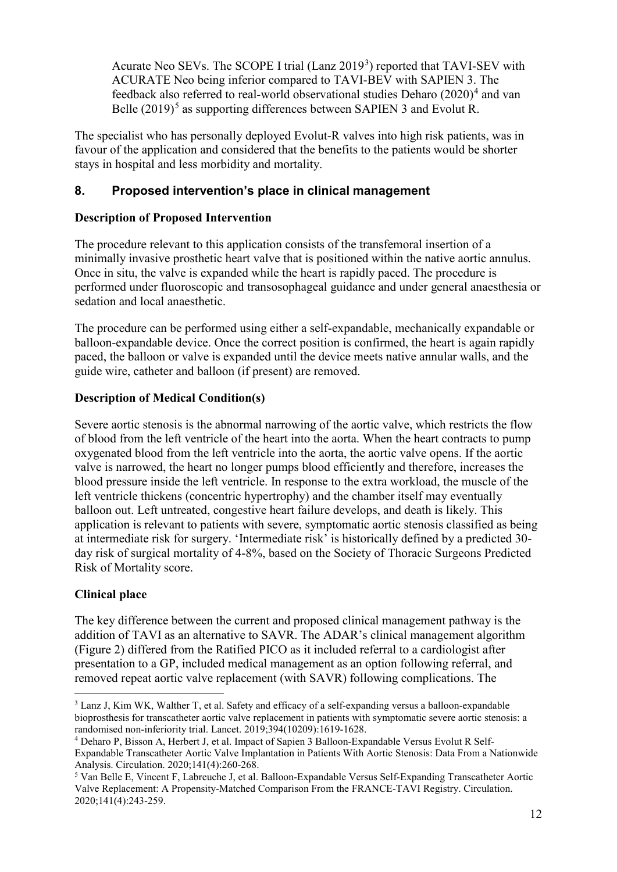Acurate Neo SEVs. The SCOPE I trial (Lanz 2019<sup>[3](#page-11-0)</sup>) reported that TAVI-SEV with ACURATE Neo being inferior compared to TAVI-BEV with SAPIEN 3. The feedback also referred to real-world observational studies Deharo  $(2020)^4$  $(2020)^4$  and van Belle  $(2019)^5$  $(2019)^5$  as supporting differences between SAPIEN 3 and Evolut R.

The specialist who has personally deployed Evolut-R valves into high risk patients, was in favour of the application and considered that the benefits to the patients would be shorter stays in hospital and less morbidity and mortality.

### **8. Proposed intervention's place in clinical management**

#### **Description of Proposed Intervention**

The procedure relevant to this application consists of the transfemoral insertion of a minimally invasive prosthetic heart valve that is positioned within the native aortic annulus. Once in situ, the valve is expanded while the heart is rapidly paced. The procedure is performed under fluoroscopic and transosophageal guidance and under general anaesthesia or sedation and local anaesthetic.

The procedure can be performed using either a self-expandable, mechanically expandable or balloon-expandable device. Once the correct position is confirmed, the heart is again rapidly paced, the balloon or valve is expanded until the device meets native annular walls, and the guide wire, catheter and balloon (if present) are removed.

### **Description of Medical Condition(s)**

Severe aortic stenosis is the abnormal narrowing of the aortic valve, which restricts the flow of blood from the left ventricle of the heart into the aorta. When the heart contracts to pump oxygenated blood from the left ventricle into the aorta, the aortic valve opens. If the aortic valve is narrowed, the heart no longer pumps blood efficiently and therefore, increases the blood pressure inside the left ventricle. In response to the extra workload, the muscle of the left ventricle thickens (concentric hypertrophy) and the chamber itself may eventually balloon out. Left untreated, congestive heart failure develops, and death is likely. This application is relevant to patients with severe, symptomatic aortic stenosis classified as being at intermediate risk for surgery. 'Intermediate risk' is historically defined by a predicted 30 day risk of surgical mortality of 4-8%, based on the Society of Thoracic Surgeons Predicted Risk of Mortality score.

### **Clinical place**

The key difference between the current and proposed clinical management pathway is the addition of TAVI as an alternative to SAVR. The ADAR's clinical management algorithm [\(Figure 2\)](#page-13-0) differed from the Ratified PICO as it included referral to a cardiologist after presentation to a GP, included medical management as an option following referral, and removed repeat aortic valve replacement (with SAVR) following complications. The

<span id="page-11-0"></span> <sup>3</sup> Lanz J, Kim WK, Walther T, et al. Safety and efficacy of a self-expanding versus a balloon-expandable bioprosthesis for transcatheter aortic valve replacement in patients with symptomatic severe aortic stenosis: a randomised non-inferiority trial. Lancet. 2019;394(10209):1619-1628.

<span id="page-11-1"></span><sup>4</sup> Deharo P, Bisson A, Herbert J, et al. Impact of Sapien 3 Balloon-Expandable Versus Evolut R Self-Expandable Transcatheter Aortic Valve Implantation in Patients With Aortic Stenosis: Data From a Nationwide Analysis. Circulation. 2020;141(4):260-268.

<span id="page-11-2"></span><sup>5</sup> Van Belle E, Vincent F, Labreuche J, et al. Balloon-Expandable Versus Self-Expanding Transcatheter Aortic Valve Replacement: A Propensity-Matched Comparison From the FRANCE-TAVI Registry. Circulation. 2020;141(4):243-259.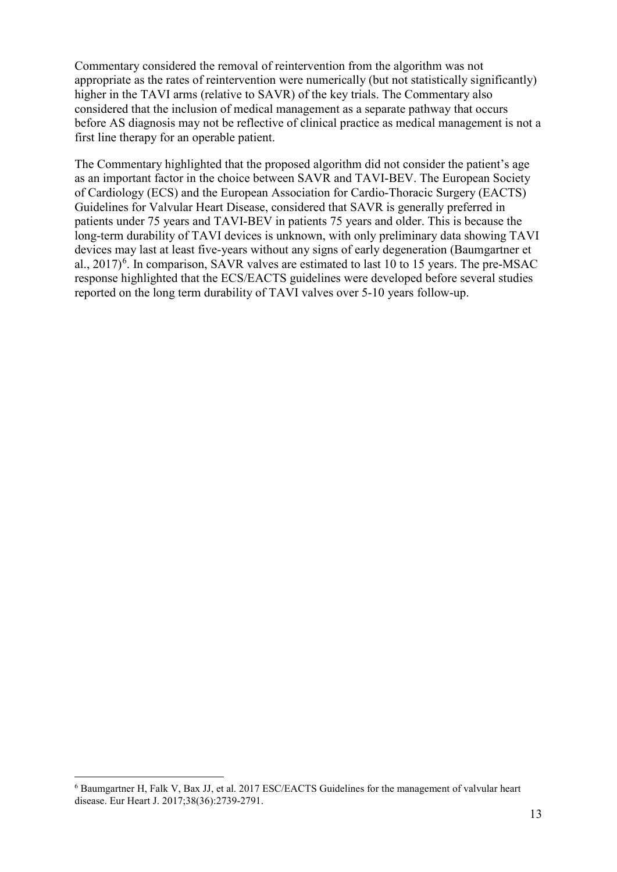Commentary considered the removal of reintervention from the algorithm was not appropriate as the rates of reintervention were numerically (but not statistically significantly) higher in the TAVI arms (relative to SAVR) of the key trials. The Commentary also considered that the inclusion of medical management as a separate pathway that occurs before AS diagnosis may not be reflective of clinical practice as medical management is not a first line therapy for an operable patient.

The Commentary highlighted that the proposed algorithm did not consider the patient's age as an important factor in the choice between SAVR and TAVI-BEV. The European Society of Cardiology (ECS) and the European Association for Cardio-Thoracic Surgery (EACTS) Guidelines for Valvular Heart Disease, considered that SAVR is generally preferred in patients under 75 years and TAVI-BEV in patients 75 years and older. This is because the long-term durability of TAVI devices is unknown, with only preliminary data showing TAVI devices may last at least five-years without any signs of early degeneration (Baumgartner et al.,  $2017)^6$  $2017)^6$ . In comparison, SAVR valves are estimated to last 10 to 15 years. The pre-MSAC response highlighted that the ECS/EACTS guidelines were developed before several studies reported on the long term durability of TAVI valves over 5-10 years follow-up.

<span id="page-12-0"></span> <sup>6</sup> Baumgartner H, Falk V, Bax JJ, et al. 2017 ESC/EACTS Guidelines for the management of valvular heart disease. Eur Heart J. 2017;38(36):2739-2791.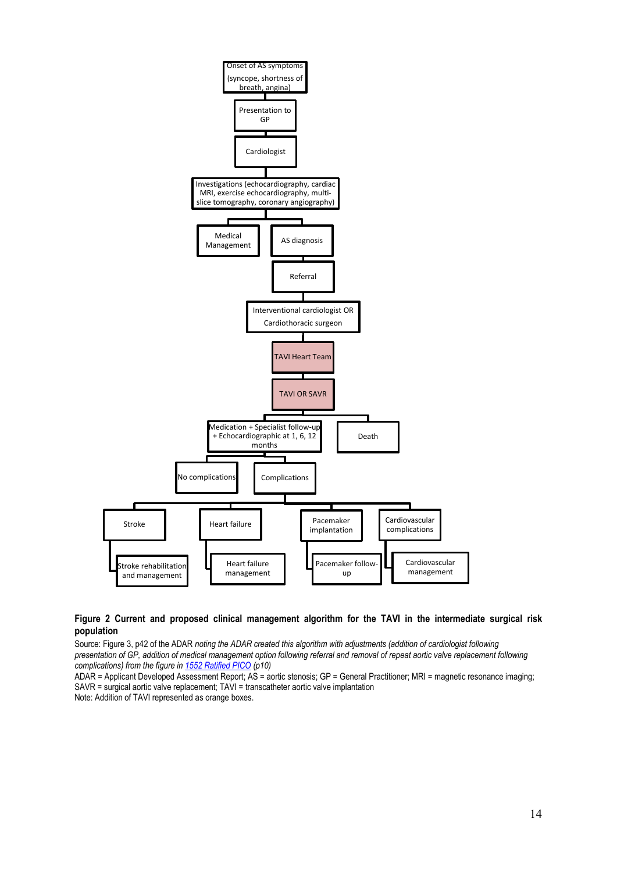

#### <span id="page-13-0"></span>**Figure 2 Current and proposed clinical management algorithm for the TAVI in the intermediate surgical risk population**

Source: Figure 3, p42 of the ADAR *noting the ADAR created this algorithm with adjustments (addition of cardiologist following presentation of GP, addition of medical management option following referral and removal of repeat aortic valve replacement following complications) from the figure i[n 1552 Ratified PICO](http://www.msac.gov.au/internet/msac/publishing.nsf/Content/88E4F87C9D70B70FCA258300001762FE/$File/1552-PICO-Ratified.pdf) (p10)*

ADAR = Applicant Developed Assessment Report; AS = aortic stenosis; GP = General Practitioner; MRI = magnetic resonance imaging; SAVR = surgical aortic valve replacement; TAVI = transcatheter aortic valve implantation

Note: Addition of TAVI represented as orange boxes.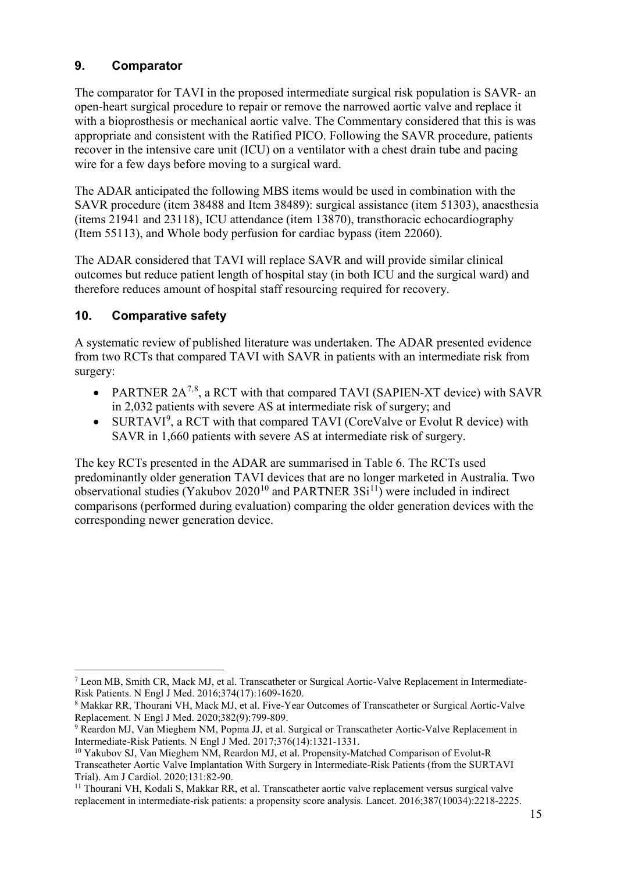### **9. Comparator**

The comparator for TAVI in the proposed intermediate surgical risk population is SAVR- an open-heart surgical procedure to repair or remove the narrowed aortic valve and replace it with a bioprosthesis or mechanical aortic valve. The Commentary considered that this is was appropriate and consistent with the Ratified PICO. Following the SAVR procedure, patients recover in the intensive care unit (ICU) on a ventilator with a chest drain tube and pacing wire for a few days before moving to a surgical ward.

The ADAR anticipated the following MBS items would be used in combination with the SAVR procedure (item 38488 and Item 38489): surgical assistance (item 51303), anaesthesia (items 21941 and 23118), ICU attendance (item 13870), transthoracic echocardiography (Item 55113), and Whole body perfusion for cardiac bypass (item 22060).

The ADAR considered that TAVI will replace SAVR and will provide similar clinical outcomes but reduce patient length of hospital stay (in both ICU and the surgical ward) and therefore reduces amount of hospital staff resourcing required for recovery.

## **10. Comparative safety**

A systematic review of published literature was undertaken. The ADAR presented evidence from two RCTs that compared TAVI with SAVR in patients with an intermediate risk from surgery:

- PARTNER  $2A^{7,8}$  $2A^{7,8}$  $2A^{7,8}$  $2A^{7,8}$ , a RCT with that compared TAVI (SAPIEN-XT device) with SAVR in 2,032 patients with severe AS at intermediate risk of surgery; and
- SURTAVI<sup>[9](#page-14-2)</sup>, a RCT with that compared TAVI (CoreValve or Evolut R device) with SAVR in 1,660 patients with severe AS at intermediate risk of surgery.

The key RCTs presented in the ADAR are summarised in [Table 6.](#page-15-0) The RCTs used predominantly older generation TAVI devices that are no longer marketed in Australia. Two observational studies (Yakubov 2020<sup>[10](#page-14-3)</sup> and PARTNER  $3Si<sup>11</sup>$  $3Si<sup>11</sup>$  $3Si<sup>11</sup>$ ) were included in indirect comparisons (performed during evaluation) comparing the older generation devices with the corresponding newer generation device.

<span id="page-14-0"></span> <sup>7</sup> Leon MB, Smith CR, Mack MJ, et al. Transcatheter or Surgical Aortic-Valve Replacement in Intermediate-Risk Patients. N Engl J Med. 2016;374(17):1609-1620.

<span id="page-14-1"></span><sup>8</sup> Makkar RR, Thourani VH, Mack MJ, et al. Five-Year Outcomes of Transcatheter or Surgical Aortic-Valve Replacement. N Engl J Med. 2020;382(9):799-809.

<span id="page-14-2"></span><sup>9</sup> Reardon MJ, Van Mieghem NM, Popma JJ, et al. Surgical or Transcatheter Aortic-Valve Replacement in Intermediate-Risk Patients. N Engl J Med. 2017;376(14):1321-1331.

<span id="page-14-3"></span><sup>&</sup>lt;sup>10</sup> Yakubov SJ, Van Mieghem NM, Reardon MJ, et al. Propensity-Matched Comparison of Evolut-R Transcatheter Aortic Valve Implantation With Surgery in Intermediate-Risk Patients (from the SURTAVI Trial). Am J Cardiol. 2020;131:82-90.

<span id="page-14-4"></span><sup>11</sup> Thourani VH, Kodali S, Makkar RR, et al. Transcatheter aortic valve replacement versus surgical valve replacement in intermediate-risk patients: a propensity score analysis. Lancet. 2016;387(10034):2218-2225.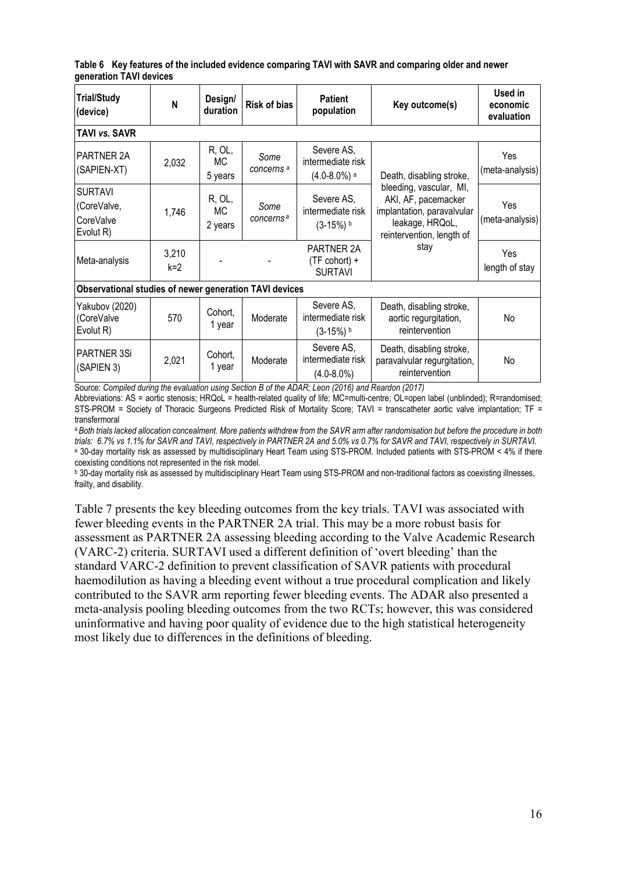<span id="page-15-0"></span>**Table 6 Key features of the included evidence comparing TAVI with SAVR and comparing older and newer generation TAVI devices**

| <b>Trial/Study</b><br>(device)                          | N              | Design/<br>duration     | <b>Patient</b><br><b>Risk of bias</b><br>population                                       |                                                                | Key outcome(s)                                                                                                               | Used in<br>economic<br>evaluation |  |  |  |  |  |
|---------------------------------------------------------|----------------|-------------------------|-------------------------------------------------------------------------------------------|----------------------------------------------------------------|------------------------------------------------------------------------------------------------------------------------------|-----------------------------------|--|--|--|--|--|
| <b>TAVI vs. SAVR</b>                                    |                |                         |                                                                                           |                                                                |                                                                                                                              |                                   |  |  |  |  |  |
| PARTNER 2A<br>(SAPIEN-XT)                               | 2,032          | R, OL,<br>МC<br>5 years | Some<br>concerns <sup>a</sup>                                                             | Severe AS,<br>intermediate risk<br>$(4.0 - 8.0%)$ <sup>a</sup> | Death, disabling stroke,                                                                                                     | Yes<br>(meta-analysis)            |  |  |  |  |  |
| <b>SURTAVI</b><br>(CoreValve,<br>CoreValve<br>Evolut R) | 1,746          | R, OL,<br>МC<br>2 years | Some<br>concerns <sup>a</sup>                                                             | Severe AS,<br>intermediate risk<br>$(3-15%)$                   | bleeding, vascular, MI,<br>AKI, AF, pacemacker<br>implantation, paravalvular<br>leakage, HRQoL,<br>reintervention, length of | Yes<br>(meta-analysis)            |  |  |  |  |  |
| Meta-analysis                                           | 3,210<br>$k=2$ |                         |                                                                                           | PARTNER 2A<br>(TF cohort) +<br><b>SURTAVI</b>                  | stay                                                                                                                         | Yes<br>length of stay             |  |  |  |  |  |
| Observational studies of newer generation TAVI devices  |                |                         |                                                                                           |                                                                |                                                                                                                              |                                   |  |  |  |  |  |
| Yakubov (2020)<br>(CoreValve<br>Evolut R)               | 570            | Cohort,<br>1 year       | Moderate                                                                                  | Severe AS,<br>intermediate risk<br>$(3-15%)$                   | Death, disabling stroke,<br>aortic regurgitation,<br>reintervention                                                          | No                                |  |  |  |  |  |
| <b>PARTNER 3Si</b><br>(SAPIEN 3)                        | 2,021          | Cohort,<br>1 year       | Moderate<br>$\mathbf{r}$ $\mathbf{r}$ $\mathbf{u}$ $\mathbf{r}$ $\mathbf{r}$ $\mathbf{r}$ | Severe AS,<br>intermediate risk<br>$(4.0 - 8.0\%)$             | Death, disabling stroke,<br>paravalvular regurgitation,<br>reintervention                                                    | No                                |  |  |  |  |  |

Source: *Compiled during the evaluation using Section B of the ADAR; Leon (2016) and Reardon (2017)*

Abbreviations: AS = aortic stenosis; HRQoL = health-related quality of life; MC=multi-centre; OL=open label (unblinded); R=randomised; STS-PROM = Society of Thoracic Surgeons Predicted Risk of Mortality Score; TAVI = transcatheter aortic valve implantation; TF = transfermoral

<sup>a</sup>*Both trials lacked allocation concealment. More patients withdrew from the SAVR arm after randomisation but before the procedure in both trials: 6.7% vs 1.1% for SAVR and TAVI, respectively in PARTNER 2A and 5.0% vs 0.7% for SAVR and TAVI, respectively in SURTAVI.* <sup>a</sup> 30-day mortality risk as assessed by multidisciplinary Heart Team using STS-PROM. Included patients with STS-PROM < 4% if there coexisting conditions not represented in the risk model.

**b** 30-day mortality risk as assessed by multidisciplinary Heart Team using STS-PROM and non-traditional factors as coexisting illnesses, frailty, and disability.

[Table 7](#page-16-0) presents the key bleeding outcomes from the key trials. TAVI was associated with fewer bleeding events in the PARTNER 2A trial. This may be a more robust basis for assessment as PARTNER 2A assessing bleeding according to the Valve Academic Research (VARC-2) criteria. SURTAVI used a different definition of 'overt bleeding' than the standard VARC-2 definition to prevent classification of SAVR patients with procedural haemodilution as having a bleeding event without a true procedural complication and likely contributed to the SAVR arm reporting fewer bleeding events. The ADAR also presented a meta-analysis pooling bleeding outcomes from the two RCTs; however, this was considered uninformative and having poor quality of evidence due to the high statistical heterogeneity most likely due to differences in the definitions of bleeding.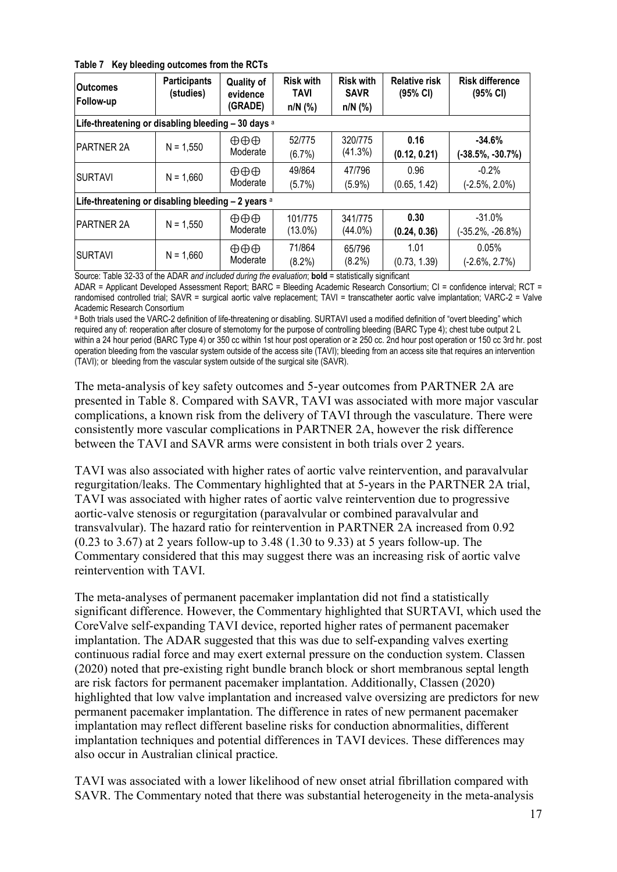<span id="page-16-0"></span>

|  | Table 7 Key bleeding outcomes from the RCTs |  |  |  |  |  |
|--|---------------------------------------------|--|--|--|--|--|
|--|---------------------------------------------|--|--|--|--|--|

| <b>Outcomes</b><br>Follow-up                          | <b>Participants</b><br>(studies) | <b>Quality of</b><br>evidence<br>(GRADE) | <b>Risk with</b><br><b>TAVI</b><br>$n/N$ (%) | <b>Risk with</b><br><b>SAVR</b><br>$n/N$ (%) | <b>Relative risk</b><br>(95% CI) | <b>Risk difference</b><br>(95% CI) |  |  |  |
|-------------------------------------------------------|----------------------------------|------------------------------------------|----------------------------------------------|----------------------------------------------|----------------------------------|------------------------------------|--|--|--|
| Life-threatening or disabling bleeding - 30 days a    |                                  |                                          |                                              |                                              |                                  |                                    |  |  |  |
| <b>PARTNER 2A</b>                                     | $N = 1,550$                      | $\oplus \oplus \oplus$<br>Moderate       | 52/775<br>(6.7%)                             | 320/775<br>(41.3%)                           | 0.16<br>(0.12, 0.21)             | $-34.6%$<br>$(-38.5\%, -30.7\%)$   |  |  |  |
| <b>SURTAVI</b>                                        | $N = 1,660$                      | $\oplus \oplus \oplus$<br>Moderate       | 49/864<br>(5.7%)                             | 47/796<br>$(5.9\%)$                          | 0.96<br>(0.65, 1.42)             | $-0.2%$<br>$(-2.5\%, 2.0\%)$       |  |  |  |
| Life-threatening or disabling bleeding $-2$ years $a$ |                                  |                                          |                                              |                                              |                                  |                                    |  |  |  |
| <b>IPARTNER 2A</b>                                    | $N = 1,550$                      | $\oplus \oplus \oplus$<br>Moderate       | 101/775<br>$(13.0\%)$                        | 341/775<br>$(44.0\%)$                        | 0.30<br>(0.24, 0.36)             | $-31.0%$<br>$(-35.2\%, -26.8\%)$   |  |  |  |
| <b>SURTAVI</b><br>$\sim$ $\sim$                       | $N = 1,660$                      | $\oplus \oplus \oplus$<br>Moderate       | 71/864<br>(8.2%)                             | 65/796<br>$(8.2\%)$                          | 1.01<br>(0.73, 1.39)             | 0.05%<br>$(-2.6\%, 2.7\%)$         |  |  |  |

Source: Table 32-33 of the ADAR *and included during the evaluation*; **bold** = statistically significant

ADAR = Applicant Developed Assessment Report; BARC = Bleeding Academic Research Consortium; CI = confidence interval; RCT = randomised controlled trial; SAVR = surgical aortic valve replacement; TAVI = transcatheter aortic valve implantation; VARC-2 = Valve Academic Research Consortium

a Both trials used the VARC-2 definition of life-threatening or disabling. SURTAVI used a modified definition of "overt bleeding" which required any of: reoperation after closure of sternotomy for the purpose of controlling bleeding (BARC Type 4); chest tube output 2 L within a 24 hour period (BARC Type 4) or 350 cc within 1st hour post operation or ≥ 250 cc. 2nd hour post operation or 150 cc 3rd hr. post operation bleeding from the vascular system outside of the access site (TAVI); bleeding from an access site that requires an intervention (TAVI); or bleeding from the vascular system outside of the surgical site (SAVR).

The meta-analysis of key safety outcomes and 5-year outcomes from PARTNER 2A are presented in [Table 8.](#page-17-0) Compared with SAVR, TAVI was associated with more major vascular complications, a known risk from the delivery of TAVI through the vasculature. There were consistently more vascular complications in PARTNER 2A, however the risk difference between the TAVI and SAVR arms were consistent in both trials over 2 years.

TAVI was also associated with higher rates of aortic valve reintervention, and paravalvular regurgitation/leaks. The Commentary highlighted that at 5-years in the PARTNER 2A trial, TAVI was associated with higher rates of aortic valve reintervention due to progressive aortic-valve stenosis or regurgitation (paravalvular or combined paravalvular and transvalvular). The hazard ratio for reintervention in PARTNER 2A increased from 0.92 (0.23 to 3.67) at 2 years follow-up to 3.48 (1.30 to 9.33) at 5 years follow-up. The Commentary considered that this may suggest there was an increasing risk of aortic valve reintervention with TAVI.

The meta-analyses of permanent pacemaker implantation did not find a statistically significant difference. However, the Commentary highlighted that SURTAVI, which used the CoreValve self-expanding TAVI device, reported higher rates of permanent pacemaker implantation. The ADAR suggested that this was due to self-expanding valves exerting continuous radial force and may exert external pressure on the conduction system. Classen (2020) noted that pre-existing right bundle branch block or short membranous septal length are risk factors for permanent pacemaker implantation. Additionally, Classen (2020) highlighted that low valve implantation and increased valve oversizing are predictors for new permanent pacemaker implantation. The difference in rates of new permanent pacemaker implantation may reflect different baseline risks for conduction abnormalities, different implantation techniques and potential differences in TAVI devices. These differences may also occur in Australian clinical practice.

TAVI was associated with a lower likelihood of new onset atrial fibrillation compared with SAVR. The Commentary noted that there was substantial heterogeneity in the meta-analysis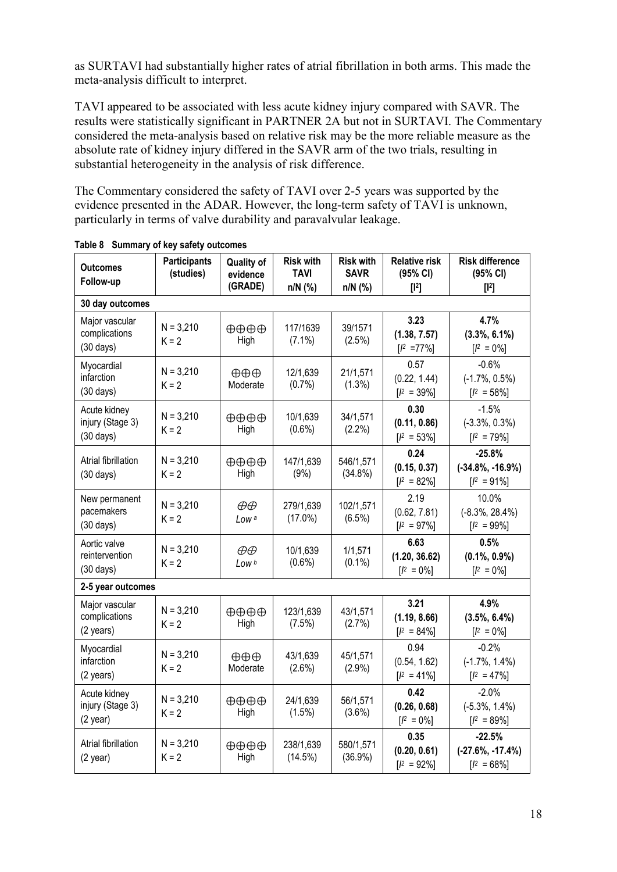as SURTAVI had substantially higher rates of atrial fibrillation in both arms. This made the meta-analysis difficult to interpret.

TAVI appeared to be associated with less acute kidney injury compared with SAVR. The results were statistically significant in PARTNER 2A but not in SURTAVI. The Commentary considered the meta-analysis based on relative risk may be the more reliable measure as the absolute rate of kidney injury differed in the SAVR arm of the two trials, resulting in substantial heterogeneity in the analysis of risk difference.

The Commentary considered the safety of TAVI over 2-5 years was supported by the evidence presented in the ADAR. However, the long-term safety of TAVI is unknown, particularly in terms of valve durability and paravalvular leakage.

| <b>Outcomes</b><br>Follow-up                            | <b>Participants</b><br>(studies) | <b>Quality of</b><br>evidence<br>(GRADE) | <b>Risk with</b><br>TAVI<br>$n/N$ (%) | <b>Risk with</b><br><b>SAVR</b><br>$n/N$ (%) | <b>Relative risk</b><br>(95% CI)<br>$[12]$ | <b>Risk difference</b><br>(95% CI)<br>$[12]$       |
|---------------------------------------------------------|----------------------------------|------------------------------------------|---------------------------------------|----------------------------------------------|--------------------------------------------|----------------------------------------------------|
| 30 day outcomes                                         |                                  |                                          |                                       |                                              |                                            |                                                    |
| Major vascular<br>complications<br>$(30 \text{ days})$  | $N = 3,210$<br>$K = 2$           | $\oplus \oplus \oplus \oplus$<br>High    | 117/1639<br>$(7.1\%)$                 | 39/1571<br>(2.5%)                            | 3.23<br>(1.38, 7.57)<br>$[I^2 = 77\%]$     | 4.7%<br>$(3.3\%, 6.1\%)$<br>$[I^2 = 0\%]$          |
| Myocardial<br>infarction<br>$(30 \text{ days})$         | $N = 3,210$<br>$K = 2$           | $\oplus \oplus \oplus$<br>Moderate       | 12/1,639<br>(0.7%)                    | 21/1,571<br>(1.3%)                           | 0.57<br>(0.22, 1.44)<br>$[I^2 = 39\%]$     | $-0.6%$<br>$(-1.7\%, 0.5\%)$<br>$[I^2 = 58\%]$     |
| Acute kidney<br>injury (Stage 3)<br>$(30 \text{ days})$ | $N = 3,210$<br>$K = 2$           | $\oplus \oplus \oplus \oplus$<br>High    | 10/1,639<br>(0.6%)                    | 34/1,571<br>$(2.2\%)$                        | 0.30<br>(0.11, 0.86)<br>$[I^2 = 53\%]$     | $-1.5%$<br>$(-3.3\%, 0.3\%)$<br>$[I^2 = 79\%]$     |
| Atrial fibrillation<br>$(30 \text{ days})$              | $N = 3,210$<br>$K = 2$           | $\oplus \oplus \oplus \oplus$<br>High    | 147/1,639<br>(9% )                    | 546/1,571<br>$(34.8\%)$                      | 0.24<br>(0.15, 0.37)<br>$[I^2 = 82\%]$     | $-25.8%$<br>$(-34.8\%, -16.9\%)$<br>$[I^2 = 91\%]$ |
| New permanent<br>pacemakers<br>$(30 \text{ days})$      | $N = 3,210$<br>$K = 2$           | $\oplus \oplus$<br>Low <sup>a</sup>      | 279/1,639<br>$(17.0\%)$               | 102/1,571<br>(6.5%)                          | 2.19<br>(0.62, 7.81)<br>$[I^2 = 97\%]$     | 10.0%<br>$(-8.3\%, 28.4\%)$<br>$[I^2 = 99\%]$      |
| Aortic valve<br>reintervention<br>$(30 \text{ days})$   | $N = 3,210$<br>$K = 2$           | $\oplus \oplus$<br>Low <sub>b</sub>      | 10/1,639<br>$(0.6\%)$                 | 1/1,571<br>$(0.1\%)$                         | 6.63<br>(1.20, 36.62)<br>$[I^2 = 0\%]$     | 0.5%<br>$(0.1\%, 0.9\%)$<br>$[I^2 = 0\%]$          |
| 2-5 year outcomes                                       |                                  |                                          |                                       |                                              |                                            |                                                    |
| Major vascular<br>complications<br>(2 years)            | $N = 3,210$<br>$K = 2$           | $\oplus \oplus \oplus \oplus$<br>High    | 123/1,639<br>(7.5%)                   | 43/1,571<br>(2.7%)                           | 3.21<br>(1.19, 8.66)<br>$[I^2 = 84\%]$     | 4.9%<br>$(3.5\%, 6.4\%)$<br>$[I^2 = 0\%]$          |
| Myocardial<br>infarction<br>(2 years)                   | $N = 3,210$<br>$K = 2$           | $\oplus \oplus \oplus$<br>Moderate       | 43/1,639<br>(2.6%)                    | 45/1,571<br>(2.9%)                           | 0.94<br>(0.54, 1.62)<br>$[I^2 = 41\%]$     | $-0.2%$<br>$(-1.7\%, 1.4\%)$<br>$[I^2 = 47\%]$     |
| Acute kidney<br>injury (Stage 3)<br>$(2$ year)          | $N = 3,210$<br>$K = 2$           | $\oplus \oplus \oplus \oplus$<br>High    | 24/1,639<br>(1.5%)                    | 56/1,571<br>(3.6%)                           | 0.42<br>(0.26, 0.68)<br>$[I^2 = 0\%]$      | $-2.0%$<br>$(-5.3\%, 1.4\%)$<br>$[I^2 = 89\%]$     |
| Atrial fibrillation<br>$(2$ year)                       | $N = 3,210$<br>$K = 2$           | $\oplus \oplus \oplus \oplus$<br>High    | 238/1,639<br>(14.5%)                  | 580/1,571<br>(36.9%)                         | 0.35<br>(0.20, 0.61)<br>$[I^2 = 92\%]$     | $-22.5%$<br>$(-27.6\%, -17.4\%)$<br>$[I^2 = 68\%]$ |

<span id="page-17-0"></span>**Table 8 Summary of key safety outcomes**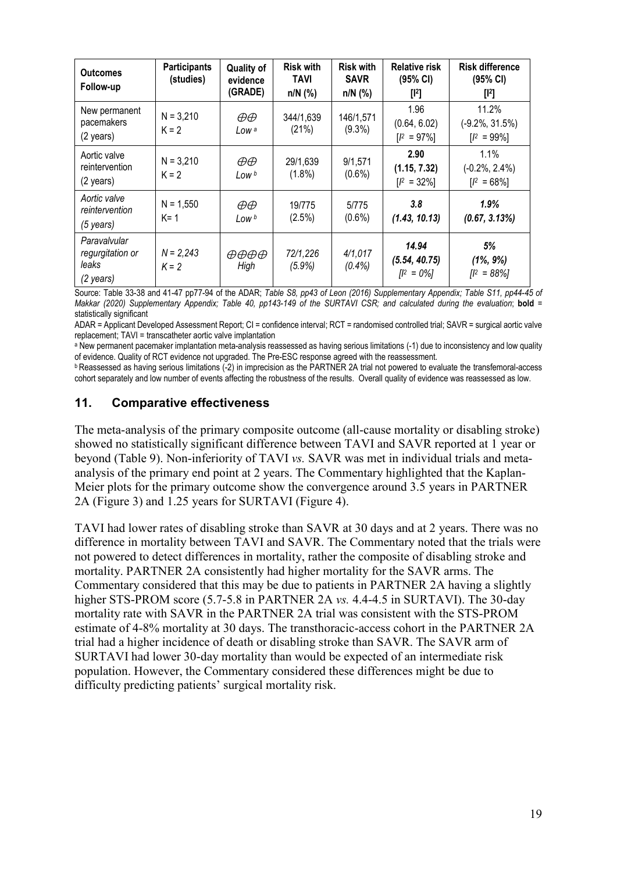| <b>Outcomes</b><br>Follow-up                           | <b>Participants</b><br>(studies) | <b>Quality of</b><br>evidence<br>(GRADE) | <b>Risk with</b><br><b>TAVI</b><br>$n/N$ (%) | <b>Risk with</b><br><b>SAVR</b><br>$n/N$ (%) | <b>Relative risk</b><br>(95% CI)<br>$[1^2]$ | <b>Risk difference</b><br>(95% CI)<br>$[1^2]$ |
|--------------------------------------------------------|----------------------------------|------------------------------------------|----------------------------------------------|----------------------------------------------|---------------------------------------------|-----------------------------------------------|
| New permanent<br>pacemakers<br>(2 years)               | $N = 3,210$<br>$K = 2$           | $\oplus \oplus$<br>Low a                 | 344/1,639<br>(21%)                           | 146/1,571<br>$(9.3\%)$                       | 1.96<br>(0.64, 6.02)<br>$[I^2 = 97\%]$      | 11.2%<br>$(-9.2\%, 31.5\%)$<br>$[1^2 = 99\%]$ |
| Aortic valve<br>reintervention<br>$(2 \text{ years})$  | $N = 3,210$<br>$K = 2$           | $\oplus \oplus$<br>Low b                 | 29/1,639<br>$(1.8\%)$                        | 9/1,571<br>$(0.6\%)$                         | 2.90<br>(1.15, 7.32)<br>$[I^2 = 32\%]$      | 1.1%<br>$(-0.2\%, 2.4\%)$<br>$[I^2 = 68\%]$   |
| Aortic valve<br>reintervention<br>$(5 \text{ years})$  | $N = 1,550$<br>$K = 1$           | $\oplus \oplus$<br>Low b                 | 19/775<br>(2.5%)                             | 5/775<br>$(0.6\%)$                           | 3.8<br>(1.43, 10.13)                        | 1.9%<br>(0.67, 3.13%)                         |
| Paravalvular<br>regurgitation or<br>leaks<br>(2 years) | $N = 2,243$<br>$K = 2$           | $\theta\theta\theta\theta$<br>High       | 72/1,226<br>$(5.9\%)$                        | 4/1,017<br>(0.4%                             | 14.94<br>(5.54, 40.75)<br>$[1^2 = 0\%]$     | 5%<br>$(1\%, 9\%)$<br>$[I^2 = 88\%]$          |

Source: Table 33-38 and 41-47 pp77-94 of the ADAR; *Table S8, pp43 of Leon (2016) Supplementary Appendix; Table S11, pp44-45 of Makkar (2020) Supplementary Appendix; Table 40, pp143-149 of the SURTAVI CSR; and calculated during the evaluation*; **bold** = statistically significant

ADAR = Applicant Developed Assessment Report; CI = confidence interval; RCT = randomised controlled trial; SAVR = surgical aortic valve replacement; TAVI = transcatheter aortic valve implantation

a New permanent pacemaker implantation meta-analysis reassessed as having serious limitations (-1) due to inconsistency and low quality of evidence. Quality of RCT evidence not upgraded. The Pre-ESC response agreed with th

**b** Reassessed as having serious limitations (-2) in imprecision as the PARTNER 2A trial not powered to evaluate the transfemoral-access cohort separately and low number of events affecting the robustness of the results. Overall quality of evidence was reassessed as low.

#### **11. Comparative effectiveness**

The meta-analysis of the primary composite outcome (all-cause mortality or disabling stroke) showed no statistically significant difference between TAVI and SAVR reported at 1 year or beyond [\(Table 9\)](#page-19-0). Non-inferiority of TAVI *vs.* SAVR was met in individual trials and metaanalysis of the primary end point at 2 years. The Commentary highlighted that the Kaplan-Meier plots for the primary outcome show the convergence around 3.5 years in PARTNER 2A [\(Figure 3\)](#page-19-1) and 1.25 years for SURTAVI [\(Figure 4\)](#page-20-0).

TAVI had lower rates of disabling stroke than SAVR at 30 days and at 2 years. There was no difference in mortality between TAVI and SAVR. The Commentary noted that the trials were not powered to detect differences in mortality, rather the composite of disabling stroke and mortality. PARTNER 2A consistently had higher mortality for the SAVR arms. The Commentary considered that this may be due to patients in PARTNER 2A having a slightly higher STS-PROM score (5.7-5.8 in PARTNER 2A *vs.* 4.4-4.5 in SURTAVI). The 30-day mortality rate with SAVR in the PARTNER 2A trial was consistent with the STS-PROM estimate of 4-8% mortality at 30 days. The transthoracic-access cohort in the PARTNER 2A trial had a higher incidence of death or disabling stroke than SAVR. The SAVR arm of SURTAVI had lower 30-day mortality than would be expected of an intermediate risk population. However, the Commentary considered these differences might be due to difficulty predicting patients' surgical mortality risk.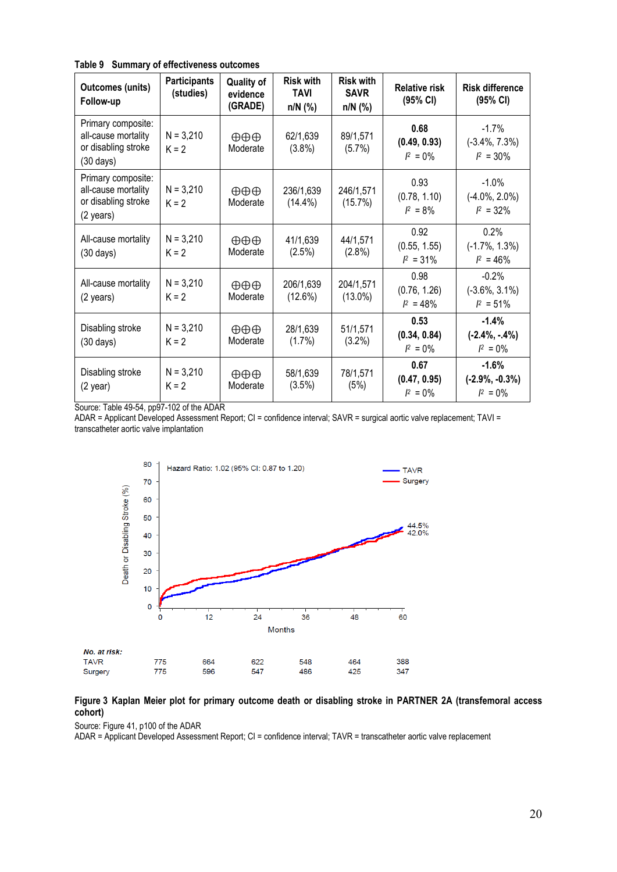<span id="page-19-0"></span>**Table 9 Summary of effectiveness outcomes**

| <b>Outcomes (units)</b><br>Follow-up                                                    | <b>Participants</b><br>(studies) | <b>Quality of</b><br>evidence<br>(GRADE) | <b>Risk with</b><br><b>TAVI</b><br>$n/N$ (%) | <b>Risk with</b><br><b>SAVR</b><br>$n/N$ (%) | <b>Relative risk</b><br>(95% CI)     | <b>Risk difference</b><br>(95% CI)            |
|-----------------------------------------------------------------------------------------|----------------------------------|------------------------------------------|----------------------------------------------|----------------------------------------------|--------------------------------------|-----------------------------------------------|
| Primary composite:<br>all-cause mortality<br>or disabling stroke<br>$(30 \text{ days})$ | $N = 3,210$<br>$K = 2$           | $\oplus \oplus \oplus$<br>Moderate       | 62/1,639<br>$(3.8\%)$                        | 89/1,571<br>(5.7%)                           | 0.68<br>(0.49, 0.93)<br>$I^2 = 0\%$  | $-1.7\%$<br>$(-3.4\%, 7.3\%)$<br>$I^2 = 30\%$ |
| Primary composite:<br>all-cause mortality<br>or disabling stroke<br>(2 years)           | $N = 3,210$<br>$K = 2$           | $\oplus \oplus \oplus$<br>Moderate       | 236/1,639<br>$(14.4\%)$                      | 246/1,571<br>$(15.7\%)$                      | 0.93<br>(0.78, 1.10)<br>$I^2 = 8\%$  | $-1.0\%$<br>$(-4.0\%, 2.0\%)$<br>$I^2 = 32\%$ |
| All-cause mortality<br>$(30 \text{ days})$                                              | $N = 3,210$<br>$K = 2$           | $\oplus \oplus \oplus$<br>Moderate       | 41/1,639<br>(2.5%)                           | 44/1,571<br>(2.8%)                           | 0.92<br>(0.55, 1.55)<br>$I^2 = 31\%$ | 0.2%<br>$(-1.7\%, 1.3\%)$<br>$I^2 = 46\%$     |
| All-cause mortality<br>(2 years)                                                        | $N = 3,210$<br>$K = 2$           | $\oplus \oplus \oplus$<br>Moderate       | 206/1,639<br>(12.6%)                         | 204/1,571<br>$(13.0\%)$                      | 0.98<br>(0.76, 1.26)<br>$I^2 = 48\%$ | $-0.2%$<br>$(-3.6\%, 3.1\%)$<br>$I^2 = 51\%$  |
| Disabling stroke<br>$(30 \text{ days})$                                                 | $N = 3,210$<br>$K = 2$           | $\oplus \oplus \oplus$<br>Moderate       | 28/1,639<br>$(1.7\%)$                        | 51/1,571<br>(3.2%)                           | 0.53<br>(0.34, 0.84)<br>$I^2 = 0\%$  | $-1.4%$<br>$(-2.4\%, -.4\%)$<br>$I^2 = 0\%$   |
| Disabling stroke<br>$(2 \text{ year})$                                                  | $N = 3,210$<br>$K = 2$           | $\oplus \oplus \oplus$<br>Moderate       | 58/1,639<br>(3.5%)                           | 78/1,571<br>(5%)                             | 0.67<br>(0.47, 0.95)<br>$I^2 = 0\%$  | $-1.6%$<br>$(-2.9\%, -0.3\%)$<br>$I^2 = 0\%$  |

Source: Table 49-54, pp97-102 of the ADAR

ADAR = Applicant Developed Assessment Report; CI = confidence interval; SAVR = surgical aortic valve replacement; TAVI = transcatheter aortic valve implantation



#### <span id="page-19-1"></span>**Figure 3 Kaplan Meier plot for primary outcome death or disabling stroke in PARTNER 2A (transfemoral access cohort)**

Source: Figure 41, p100 of the ADAR

ADAR = Applicant Developed Assessment Report; CI = confidence interval; TAVR = transcatheter aortic valve replacement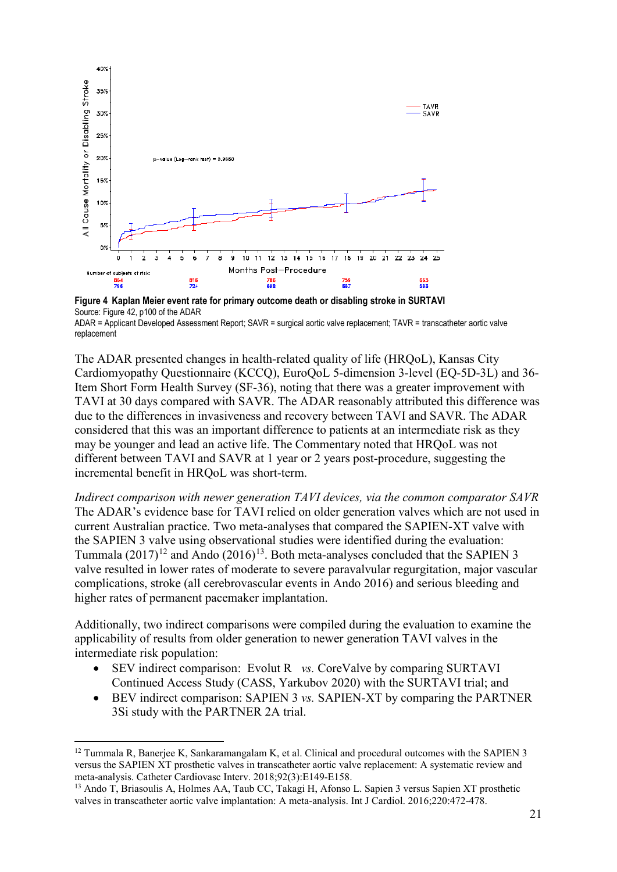

<span id="page-20-0"></span>**Figure 4 Kaplan Meier event rate for primary outcome death or disabling stroke in SURTAVI**  Source: Figure 42, p100 of the ADAR

The ADAR presented changes in health-related quality of life (HRQoL), Kansas City Cardiomyopathy Questionnaire (KCCQ), EuroQoL 5-dimension 3-level (EQ-5D-3L) and 36- Item Short Form Health Survey (SF-36), noting that there was a greater improvement with TAVI at 30 days compared with SAVR. The ADAR reasonably attributed this difference was due to the differences in invasiveness and recovery between TAVI and SAVR. The ADAR considered that this was an important difference to patients at an intermediate risk as they may be younger and lead an active life. The Commentary noted that HRQoL was not different between TAVI and SAVR at 1 year or 2 years post-procedure, suggesting the incremental benefit in HRQoL was short-term.

*Indirect comparison with newer generation TAVI devices, via the common comparator SAVR*  The ADAR's evidence base for TAVI relied on older generation valves which are not used in current Australian practice. Two meta-analyses that compared the SAPIEN-XT valve with the SAPIEN 3 valve using observational studies were identified during the evaluation: Tummala  $(2017)^{12}$  $(2017)^{12}$  $(2017)^{12}$  and Ando  $(2016)^{13}$  $(2016)^{13}$  $(2016)^{13}$ . Both meta-analyses concluded that the SAPIEN 3 valve resulted in lower rates of moderate to severe paravalvular regurgitation, major vascular complications, stroke (all cerebrovascular events in Ando 2016) and serious bleeding and higher rates of permanent pacemaker implantation.

Additionally, two indirect comparisons were compiled during the evaluation to examine the applicability of results from older generation to newer generation TAVI valves in the intermediate risk population:

- SEV indirect comparison: Evolut R *vs.* CoreValve by comparing SURTAVI Continued Access Study (CASS, Yarkubov 2020) with the SURTAVI trial; and
- BEV indirect comparison: SAPIEN 3 *vs.* SAPIEN-XT by comparing the PARTNER 3Si study with the PARTNER 2A trial.

ADAR = Applicant Developed Assessment Report; SAVR = surgical aortic valve replacement; TAVR = transcatheter aortic valve replacement

<span id="page-20-1"></span><sup>&</sup>lt;sup>12</sup> Tummala R, Banerjee K, Sankaramangalam K, et al. Clinical and procedural outcomes with the SAPIEN 3 versus the SAPIEN XT prosthetic valves in transcatheter aortic valve replacement: A systematic review and meta-analysis. Catheter Cardiovasc Interv. 2018;92(3):E149-E158.

<span id="page-20-2"></span><sup>&</sup>lt;sup>13</sup> Ando T, Briasoulis A, Holmes AA, Taub CC, Takagi H, Afonso L. Sapien 3 versus Sapien XT prosthetic valves in transcatheter aortic valve implantation: A meta-analysis. Int J Cardiol. 2016;220:472-478.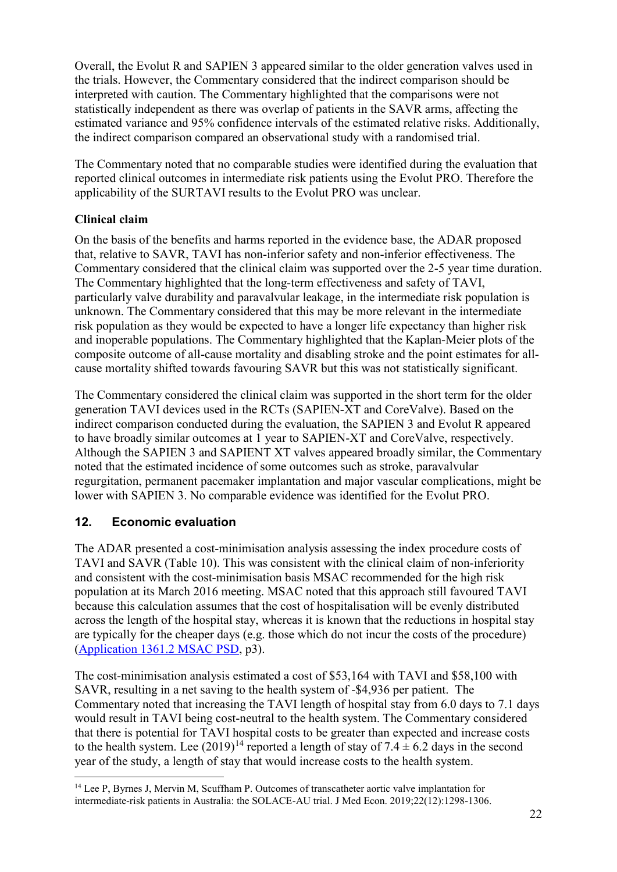Overall, the Evolut R and SAPIEN 3 appeared similar to the older generation valves used in the trials. However, the Commentary considered that the indirect comparison should be interpreted with caution. The Commentary highlighted that the comparisons were not statistically independent as there was overlap of patients in the SAVR arms, affecting the estimated variance and 95% confidence intervals of the estimated relative risks. Additionally, the indirect comparison compared an observational study with a randomised trial.

The Commentary noted that no comparable studies were identified during the evaluation that reported clinical outcomes in intermediate risk patients using the Evolut PRO. Therefore the applicability of the SURTAVI results to the Evolut PRO was unclear.

### **Clinical claim**

On the basis of the benefits and harms reported in the evidence base, the ADAR proposed that, relative to SAVR, TAVI has non-inferior safety and non-inferior effectiveness. The Commentary considered that the clinical claim was supported over the 2-5 year time duration. The Commentary highlighted that the long-term effectiveness and safety of TAVI, particularly valve durability and paravalvular leakage, in the intermediate risk population is unknown. The Commentary considered that this may be more relevant in the intermediate risk population as they would be expected to have a longer life expectancy than higher risk and inoperable populations. The Commentary highlighted that the Kaplan-Meier plots of the composite outcome of all-cause mortality and disabling stroke and the point estimates for allcause mortality shifted towards favouring SAVR but this was not statistically significant.

The Commentary considered the clinical claim was supported in the short term for the older generation TAVI devices used in the RCTs (SAPIEN-XT and CoreValve). Based on the indirect comparison conducted during the evaluation, the SAPIEN 3 and Evolut R appeared to have broadly similar outcomes at 1 year to SAPIEN-XT and CoreValve, respectively. Although the SAPIEN 3 and SAPIENT XT valves appeared broadly similar, the Commentary noted that the estimated incidence of some outcomes such as stroke, paravalvular regurgitation, permanent pacemaker implantation and major vascular complications, might be lower with SAPIEN 3. No comparable evidence was identified for the Evolut PRO.

# **12. Economic evaluation**

The ADAR presented a cost-minimisation analysis assessing the index procedure costs of TAVI and SAVR [\(Table 10\)](#page-22-0). This was consistent with the clinical claim of non-inferiority and consistent with the cost-minimisation basis MSAC recommended for the high risk population at its March 2016 meeting. MSAC noted that this approach still favoured TAVI because this calculation assumes that the cost of hospitalisation will be evenly distributed across the length of the hospital stay, whereas it is known that the reductions in hospital stay are typically for the cheaper days (e.g. those which do not incur the costs of the procedure) [\(Application 1361.2 MSAC PSD,](http://www.msac.gov.au/internet/msac/publishing.nsf/Content/1361.2-public) p3).

The cost-minimisation analysis estimated a cost of \$53,164 with TAVI and \$58,100 with SAVR, resulting in a net saving to the health system of -\$4,936 per patient. The Commentary noted that increasing the TAVI length of hospital stay from 6.0 days to 7.1 days would result in TAVI being cost-neutral to the health system. The Commentary considered that there is potential for TAVI hospital costs to be greater than expected and increase costs to the health system. Lee  $(2019)^{14}$  $(2019)^{14}$  $(2019)^{14}$  reported a length of stay of 7.4  $\pm$  6.2 days in the second year of the study, a length of stay that would increase costs to the health system.

<span id="page-21-0"></span> <sup>14</sup> Lee P, Byrnes J, Mervin M, Scuffham P. Outcomes of transcatheter aortic valve implantation for intermediate-risk patients in Australia: the SOLACE-AU trial. J Med Econ. 2019;22(12):1298-1306.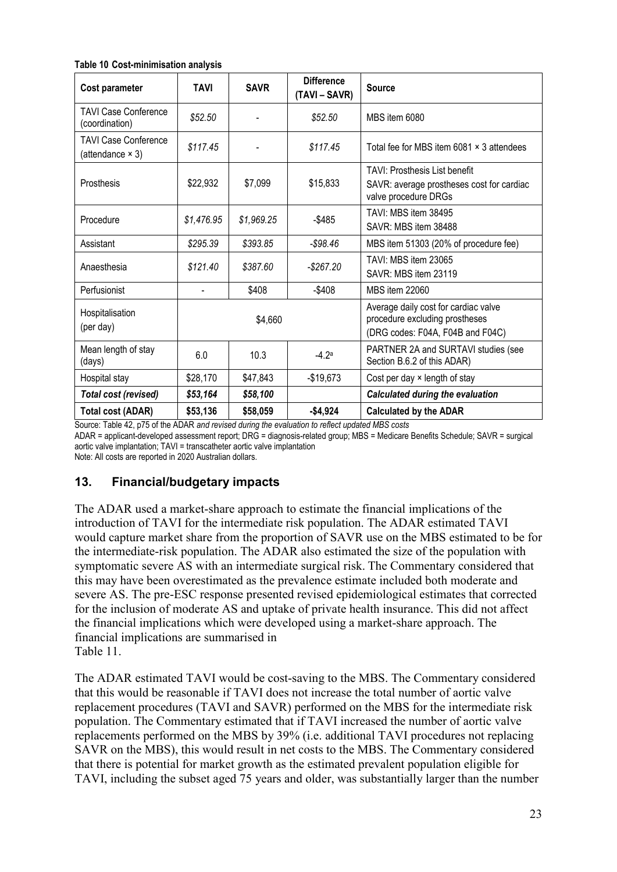#### <span id="page-22-0"></span>**Table 10 Cost-minimisation analysis**

| Cost parameter                                         | <b>TAVI</b> | <b>SAVR</b> | <b>Difference</b><br>(TAVI – SAVR) | <b>Source</b>                                                                                              |  |
|--------------------------------------------------------|-------------|-------------|------------------------------------|------------------------------------------------------------------------------------------------------------|--|
| <b>TAVI Case Conference</b><br>(coordination)          | \$52.50     |             | \$52.50                            | MBS item 6080                                                                                              |  |
| <b>TAVI Case Conference</b><br>(attendance $\times$ 3) | \$117.45    |             | \$117.45                           | Total fee for MBS item 6081 x 3 attendees                                                                  |  |
| Prosthesis                                             | \$22,932    | \$7,099     | \$15,833                           | <b>TAVI: Prosthesis List benefit</b><br>SAVR: average prostheses cost for cardiac<br>valve procedure DRGs  |  |
| Procedure                                              | \$1,476.95  | \$1,969.25  | $-$ \$485                          | TAVI: MBS item 38495<br>SAVR: MBS item 38488                                                               |  |
| Assistant                                              | \$295.39    | \$393.85    | $-$ \$98.46                        | MBS item 51303 (20% of procedure fee)                                                                      |  |
| Anaesthesia                                            | \$121.40    | \$387.60    | $-$ \$267.20                       | TAVI: MBS item 23065<br>SAVR: MBS item 23119                                                               |  |
| Perfusionist                                           |             | \$408       | $-$ \$408                          | <b>MBS item 22060</b>                                                                                      |  |
| Hospitalisation<br>(per day)                           |             | \$4,660     |                                    | Average daily cost for cardiac valve<br>procedure excluding prostheses<br>(DRG codes: F04A, F04B and F04C) |  |
| Mean length of stay<br>(days)                          | 6.0         | 10.3        | $-4.2a$                            | PARTNER 2A and SURTAVI studies (see<br>Section B.6.2 of this ADAR)                                         |  |
| Hospital stay                                          | \$28,170    | \$47,843    | $-$19,673$                         | Cost per day x length of stay                                                                              |  |
| Total cost (revised)                                   | \$53,164    | \$58,100    |                                    | <b>Calculated during the evaluation</b>                                                                    |  |
| <b>Total cost (ADAR)</b>                               | \$53,136    | \$58,059    | $-$4,924$                          | <b>Calculated by the ADAR</b>                                                                              |  |

Source: Table 42, p75 of the ADAR *and revised during the evaluation to reflect updated MBS costs*

ADAR = applicant-developed assessment report; DRG = diagnosis-related group; MBS = Medicare Benefits Schedule; SAVR = surgical aortic valve implantation; TAVI = transcatheter aortic valve implantation

Note: All costs are reported in 2020 Australian dollars.

### **13. Financial/budgetary impacts**

The ADAR used a market-share approach to estimate the financial implications of the introduction of TAVI for the intermediate risk population. The ADAR estimated TAVI would capture market share from the proportion of SAVR use on the MBS estimated to be for the intermediate-risk population. The ADAR also estimated the size of the population with symptomatic severe AS with an intermediate surgical risk. The Commentary considered that this may have been overestimated as the prevalence estimate included both moderate and severe AS. The pre-ESC response presented revised epidemiological estimates that corrected for the inclusion of moderate AS and uptake of private health insurance. This did not affect the financial implications which were de[veloped using a market-share approach. The](#page-23-0)  financial implications are summarised in [Table 11.](#page-23-0)

The ADAR estimated TAVI would be cost-saving to the MBS. The Commentary considered that this would be reasonable if TAVI does not increase the total number of aortic valve replacement procedures (TAVI and SAVR) performed on the MBS for the intermediate risk population. The Commentary estimated that if TAVI increased the number of aortic valve replacements performed on the MBS by 39% (i.e. additional TAVI procedures not replacing SAVR on the MBS), this would result in net costs to the MBS. The Commentary considered that there is potential for market growth as the estimated prevalent population eligible for TAVI, including the subset aged 75 years and older, was substantially larger than the number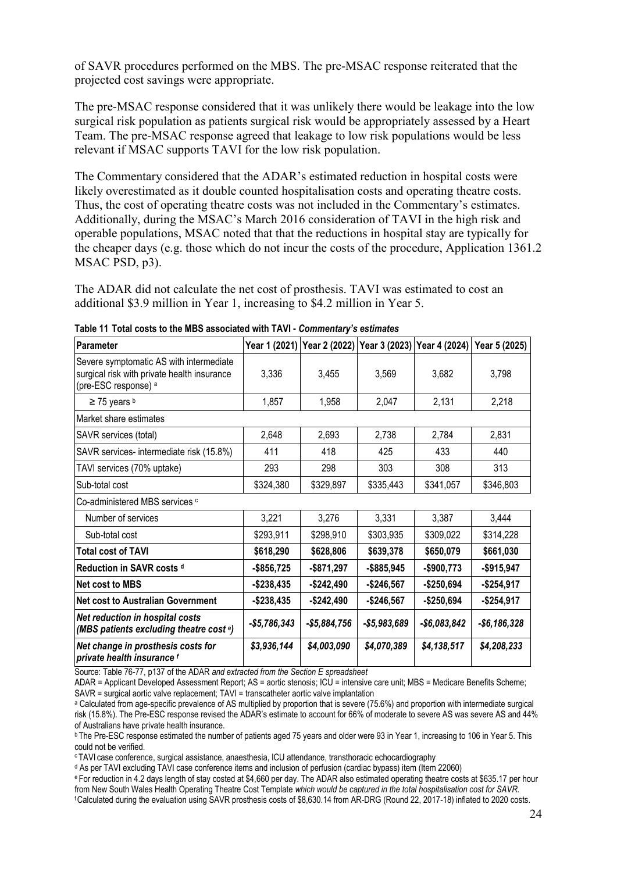of SAVR procedures performed on the MBS. The pre-MSAC response reiterated that the projected cost savings were appropriate.

The pre-MSAC response considered that it was unlikely there would be leakage into the low surgical risk population as patients surgical risk would be appropriately assessed by a Heart Team. The pre-MSAC response agreed that leakage to low risk populations would be less relevant if MSAC supports TAVI for the low risk population.

The Commentary considered that the ADAR's estimated reduction in hospital costs were likely overestimated as it double counted hospitalisation costs and operating theatre costs. Thus, the cost of operating theatre costs was not included in the Commentary's estimates. Additionally, during the MSAC's March 2016 consideration of TAVI in the high risk and operable populations, MSAC noted that that the reductions in hospital stay are typically for the cheaper days (e.g. those which do not incur the costs of the procedure, [Application 1361.2](http://www.msac.gov.au/internet/msac/publishing.nsf/Content/1361.2-public)  [MSAC PSD,](http://www.msac.gov.au/internet/msac/publishing.nsf/Content/1361.2-public) p3).

The ADAR did not calculate the net cost of prosthesis. TAVI was estimated to cost an additional \$3.9 million in Year 1, increasing to \$4.2 million in Year 5.

| Parameter                                                                                                      |               |               |               |               | Year 1 (2021) Year 2 (2022) Year 3 (2023) Year 4 (2024) Year 5 (2025) |
|----------------------------------------------------------------------------------------------------------------|---------------|---------------|---------------|---------------|-----------------------------------------------------------------------|
| Severe symptomatic AS with intermediate<br>surgical risk with private health insurance<br>(pre-ESC response) a | 3,336         | 3,455         | 3,569         | 3,682         | 3,798                                                                 |
| $\geq$ 75 years b                                                                                              | 1,857         | 1,958         | 2,047         | 2,131         | 2,218                                                                 |
| Market share estimates                                                                                         |               |               |               |               |                                                                       |
| SAVR services (total)                                                                                          | 2,648         | 2,693         | 2,738         | 2,784         | 2,831                                                                 |
| SAVR services- intermediate risk (15.8%)                                                                       | 411           | 418           | 425           | 433           | 440                                                                   |
| TAVI services (70% uptake)                                                                                     | 293           | 298           | 303           | 308           | 313                                                                   |
| Sub-total cost                                                                                                 | \$324,380     | \$329,897     | \$335,443     | \$341,057     | \$346,803                                                             |
| Co-administered MBS services c                                                                                 |               |               |               |               |                                                                       |
| Number of services                                                                                             | 3,221         | 3,276         | 3,331         | 3,387         | 3,444                                                                 |
| Sub-total cost                                                                                                 | \$293,911     | \$298,910     | \$303,935     | \$309,022     | \$314,228                                                             |
| <b>Total cost of TAVI</b>                                                                                      | \$618,290     | \$628,806     | \$639,378     | \$650,079     | \$661,030                                                             |
| Reduction in SAVR costs d                                                                                      | $-$ \$856,725 | -\$871,297    | $-$ \$885,945 | $-$900,773$   | $-$915,947$                                                           |
| Net cost to MBS                                                                                                | $-$238,435$   | $-$242,490$   | $-$246,567$   | $-$250,694$   | $-$254,917$                                                           |
| Net cost to Australian Government                                                                              | -\$238,435    | $-$242,490$   | -\$246,567    | $-$250,694$   | $-$ \$254,917                                                         |
| <b>Net reduction in hospital costs</b><br>(MBS patients excluding theatre cost <sup>e</sup> )                  | $-$5,786,343$ | $-$5,884,756$ | $-$5,983,689$ | $-$6,083,842$ | $-$6,186,328$                                                         |
| Net change in prosthesis costs for<br>private health insurance f                                               | \$3,936,144   | \$4,003,090   | \$4,070,389   | \$4,138,517   | \$4,208,233                                                           |

<span id="page-23-0"></span>**Table 11 Total costs to the MBS associated with TAVI -** *Commentary's estimates*

Source: Table 76-77, p137 of the ADAR *and extracted from the Section E spreadsheet*

ADAR = Applicant Developed Assessment Report; AS = aortic stenosis; ICU = intensive care unit; MBS = Medicare Benefits Scheme; SAVR = surgical aortic valve replacement; TAVI = transcatheter aortic valve implantation

<sup>a</sup> Calculated from age-specific prevalence of AS multiplied by proportion that is severe (75.6%) and proportion with intermediate surgical risk (15.8%). The Pre-ESC response revised the ADAR's estimate to account for 66% of moderate to severe AS was severe AS and 44% of Australians have private health insurance.

<sup>b</sup> The Pre-ESC response estimated the number of patients aged 75 years and older were 93 in Year 1, increasing to 106 in Year 5. This could not be verified.

c TAVI case conference, surgical assistance, anaesthesia, ICU attendance, transthoracic echocardiography

<sup>d</sup> As per TAVI excluding TAVI case conference items and inclusion of perfusion (cardiac bypass) item (Item 22060)

e For reduction in 4.2 days length of stay costed at \$4,660 per day. The ADAR also estimated operating theatre costs at \$635.17 per hour from New South Wales Health Operating Theatre Cost Template *which would be captured in the total hospitalisation cost for SAVR.* f Calculated during the evaluation using SAVR prosthesis costs of \$8,630.14 from AR-DRG (Round 22, 2017-18) inflated to 2020 costs.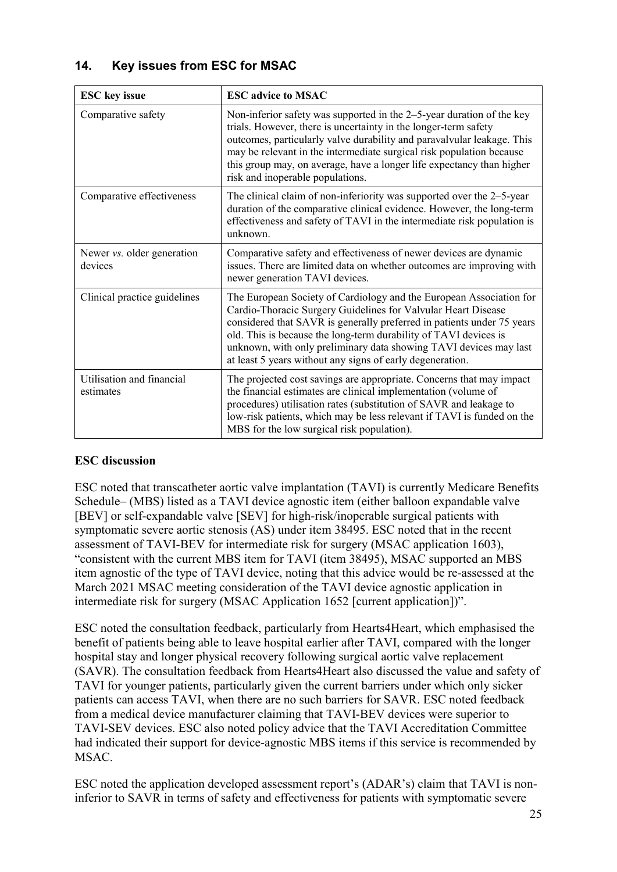# **14. Key issues from ESC for MSAC**

| <b>ESC</b> key issue                   | <b>ESC</b> advice to MSAC                                                                                                                                                                                                                                                                                                                                                                                            |
|----------------------------------------|----------------------------------------------------------------------------------------------------------------------------------------------------------------------------------------------------------------------------------------------------------------------------------------------------------------------------------------------------------------------------------------------------------------------|
| Comparative safety                     | Non-inferior safety was supported in the 2–5-year duration of the key<br>trials. However, there is uncertainty in the longer-term safety<br>outcomes, particularly valve durability and paravalvular leakage. This<br>may be relevant in the intermediate surgical risk population because<br>this group may, on average, have a longer life expectancy than higher<br>risk and inoperable populations.              |
| Comparative effectiveness              | The clinical claim of non-inferiority was supported over the $2-5$ -year<br>duration of the comparative clinical evidence. However, the long-term<br>effectiveness and safety of TAVI in the intermediate risk population is<br>unknown.                                                                                                                                                                             |
| Newer vs. older generation<br>devices  | Comparative safety and effectiveness of newer devices are dynamic<br>issues. There are limited data on whether outcomes are improving with<br>newer generation TAVI devices.                                                                                                                                                                                                                                         |
| Clinical practice guidelines           | The European Society of Cardiology and the European Association for<br>Cardio-Thoracic Surgery Guidelines for Valvular Heart Disease<br>considered that SAVR is generally preferred in patients under 75 years<br>old. This is because the long-term durability of TAVI devices is<br>unknown, with only preliminary data showing TAVI devices may last<br>at least 5 years without any signs of early degeneration. |
| Utilisation and financial<br>estimates | The projected cost savings are appropriate. Concerns that may impact<br>the financial estimates are clinical implementation (volume of<br>procedures) utilisation rates (substitution of SAVR and leakage to<br>low-risk patients, which may be less relevant if TAVI is funded on the<br>MBS for the low surgical risk population).                                                                                 |

### **ESC discussion**

ESC noted that transcatheter aortic valve implantation (TAVI) is currently Medicare Benefits Schedule– (MBS) listed as a TAVI device agnostic item (either balloon expandable valve [BEV] or self-expandable valve [SEV] for high-risk/inoperable surgical patients with symptomatic severe aortic stenosis (AS) under item 38495. ESC noted that in the recent assessment of TAVI-BEV for intermediate risk for surgery (MSAC application 1603), "consistent with the current MBS item for TAVI (item 38495), MSAC supported an MBS item agnostic of the type of TAVI device, noting that this advice would be re-assessed at the March 2021 MSAC meeting consideration of the TAVI device agnostic application in intermediate risk for surgery (MSAC Application 1652 [current application])".

ESC noted the consultation feedback, particularly from Hearts4Heart, which emphasised the benefit of patients being able to leave hospital earlier after TAVI, compared with the longer hospital stay and longer physical recovery following surgical aortic valve replacement (SAVR). The consultation feedback from Hearts4Heart also discussed the value and safety of TAVI for younger patients, particularly given the current barriers under which only sicker patients can access TAVI, when there are no such barriers for SAVR. ESC noted feedback from a medical device manufacturer claiming that TAVI-BEV devices were superior to TAVI-SEV devices. ESC also noted policy advice that the TAVI Accreditation Committee had indicated their support for device-agnostic MBS items if this service is recommended by MSAC.

ESC noted the application developed assessment report's (ADAR's) claim that TAVI is noninferior to SAVR in terms of safety and effectiveness for patients with symptomatic severe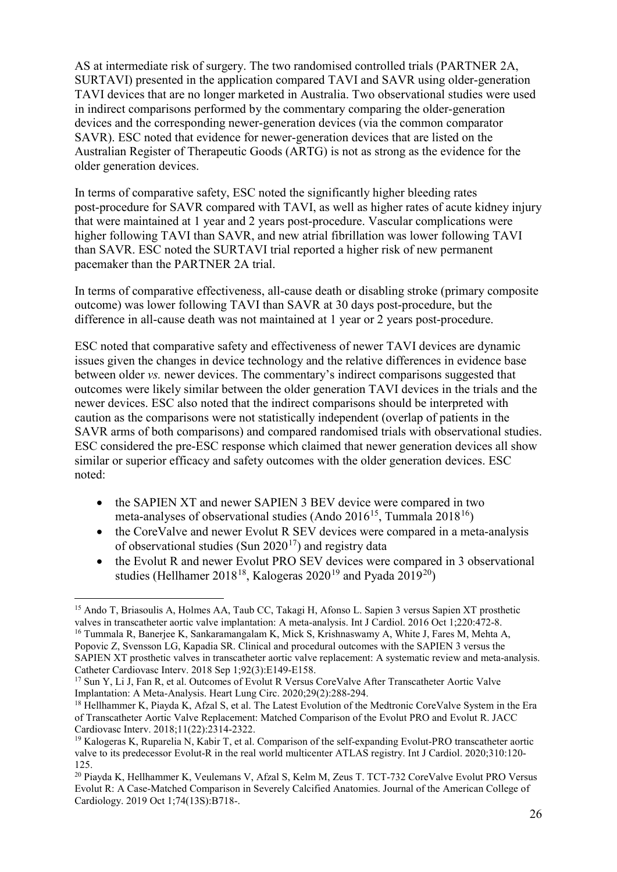AS at intermediate risk of surgery. The two randomised controlled trials (PARTNER 2A, SURTAVI) presented in the application compared TAVI and SAVR using older-generation TAVI devices that are no longer marketed in Australia. Two observational studies were used in indirect comparisons performed by the commentary comparing the older-generation devices and the corresponding newer-generation devices (via the common comparator SAVR). ESC noted that evidence for newer-generation devices that are listed on the Australian Register of Therapeutic Goods (ARTG) is not as strong as the evidence for the older generation devices.

In terms of comparative safety, ESC noted the significantly higher bleeding rates post-procedure for SAVR compared with TAVI, as well as higher rates of acute kidney injury that were maintained at 1 year and 2 years post-procedure. Vascular complications were higher following TAVI than SAVR, and new atrial fibrillation was lower following TAVI than SAVR. ESC noted the SURTAVI trial reported a higher risk of new permanent pacemaker than the PARTNER 2A trial.

In terms of comparative effectiveness, all-cause death or disabling stroke (primary composite outcome) was lower following TAVI than SAVR at 30 days post-procedure, but the difference in all-cause death was not maintained at 1 year or 2 years post-procedure.

ESC noted that comparative safety and effectiveness of newer TAVI devices are dynamic issues given the changes in device technology and the relative differences in evidence base between older *vs.* newer devices. The commentary's indirect comparisons suggested that outcomes were likely similar between the older generation TAVI devices in the trials and the newer devices. ESC also noted that the indirect comparisons should be interpreted with caution as the comparisons were not statistically independent (overlap of patients in the SAVR arms of both comparisons) and compared randomised trials with observational studies. ESC considered the pre-ESC response which claimed that newer generation devices all show similar or superior efficacy and safety outcomes with the older generation devices. ESC noted:

- the SAPIEN XT and newer SAPIEN 3 BEV device were compared in two meta-analyses of observational studies (Ando  $2016^{15}$  $2016^{15}$  $2016^{15}$ , Tummala  $2018^{16}$ )
- the CoreValve and newer Evolut R SEV devices were compared in a meta-analysis of observational studies (Sun  $2020^{17}$ ) and registry data
- the Evolut R and newer Evolut PRO SEV devices were compared in 3 observational studies (Hellhamer 2018<sup>18</sup>, Kalogeras 2020<sup>[19](#page-25-4)</sup> and Pyada 2019<sup>20</sup>)

<span id="page-25-0"></span> <sup>15</sup> Ando T, Briasoulis A, Holmes AA, Taub CC, Takagi H, Afonso L. Sapien 3 versus Sapien XT prosthetic valves in transcatheter aortic valve implantation: A meta-analysis. Int J Cardiol. 2016 Oct 1;220:472-8. <sup>16</sup> Tummala R, Banerjee K, Sankaramangalam K, Mick S, Krishnaswamy A, White J, Fares M, Mehta A, Popovic Z, Svensson LG, Kapadia SR. Clinical and procedural outcomes with the SAPIEN 3 versus the

<span id="page-25-1"></span>SAPIEN XT prosthetic valves in transcatheter aortic valve replacement: A systematic review and meta-analysis. Catheter Cardiovasc Interv. 2018 Sep 1;92(3):E149-E158.

<span id="page-25-2"></span><sup>&</sup>lt;sup>17</sup> Sun Y, Li J, Fan R, et al. Outcomes of Evolut R Versus CoreValve After Transcatheter Aortic Valve Implantation: A Meta-Analysis. Heart Lung Circ. 2020;29(2):288-294.

<span id="page-25-3"></span><sup>&</sup>lt;sup>18</sup> Hellhammer K, Piayda K, Afzal S, et al. The Latest Evolution of the Medtronic CoreValve System in the Era of Transcatheter Aortic Valve Replacement: Matched Comparison of the Evolut PRO and Evolut R. JACC Cardiovasc Interv. 2018;11(22):2314-2322.

<span id="page-25-4"></span><sup>19</sup> Kalogeras K, Ruparelia N, Kabir T, et al. Comparison of the self-expanding Evolut-PRO transcatheter aortic valve to its predecessor Evolut-R in the real world multicenter ATLAS registry. Int J Cardiol. 2020;310:120- 125.

<span id="page-25-5"></span><sup>20</sup> Piayda K, Hellhammer K, Veulemans V, Afzal S, Kelm M, Zeus T. TCT-732 CoreValve Evolut PRO Versus Evolut R: A Case-Matched Comparison in Severely Calcified Anatomies. Journal of the American College of Cardiology. 2019 Oct 1;74(13S):B718-.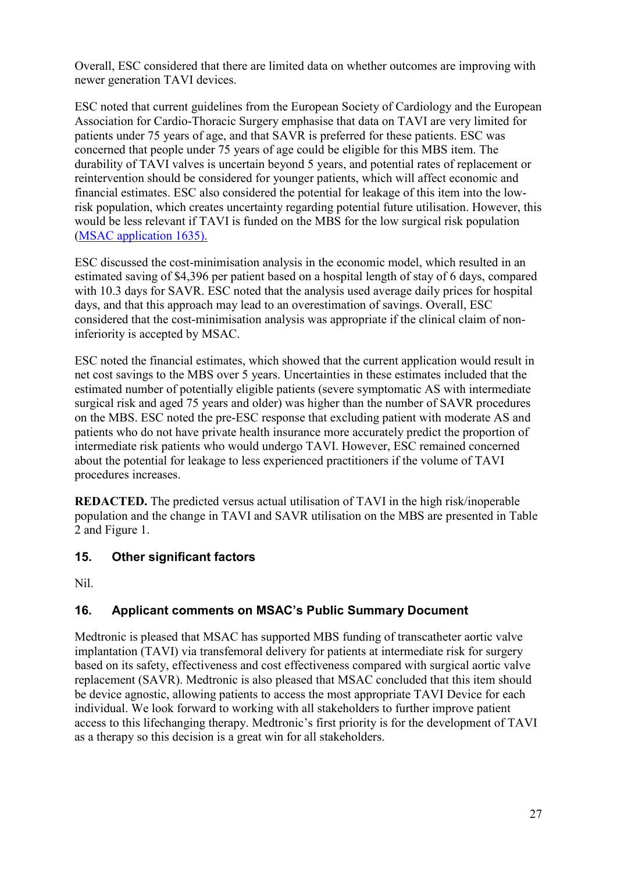Overall, ESC considered that there are limited data on whether outcomes are improving with newer generation TAVI devices.

ESC noted that current guidelines from the European Society of Cardiology and the European Association for Cardio-Thoracic Surgery emphasise that data on TAVI are very limited for patients under 75 years of age, and that SAVR is preferred for these patients. ESC was concerned that people under 75 years of age could be eligible for this MBS item. The durability of TAVI valves is uncertain beyond 5 years, and potential rates of replacement or reintervention should be considered for younger patients, which will affect economic and financial estimates. ESC also considered the potential for leakage of this item into the lowrisk population, which creates uncertainty regarding potential future utilisation. However, this would be less relevant if TAVI is funded on the MBS for the low surgical risk population [\(MSAC application 1635\).](http://www.msac.gov.au/internet/msac/publishing.nsf/Content/1635-public)

ESC discussed the cost-minimisation analysis in the economic model, which resulted in an estimated saving of \$4,396 per patient based on a hospital length of stay of 6 days, compared with 10.3 days for SAVR. ESC noted that the analysis used average daily prices for hospital days, and that this approach may lead to an overestimation of savings. Overall, ESC considered that the cost-minimisation analysis was appropriate if the clinical claim of noninferiority is accepted by MSAC.

ESC noted the financial estimates, which showed that the current application would result in net cost savings to the MBS over 5 years. Uncertainties in these estimates included that the estimated number of potentially eligible patients (severe symptomatic AS with intermediate surgical risk and aged 75 years and older) was higher than the number of SAVR procedures on the MBS. ESC noted the pre-ESC response that excluding patient with moderate AS and patients who do not have private health insurance more accurately predict the proportion of intermediate risk patients who would undergo TAVI. However, ESC remained concerned about the potential for leakage to less experienced practitioners if the volume of TAVI procedures increases.

**REDACTED.** The predicted versus actual utilisation of TAVI in the high risk/inoperable population and the change in TAVI and SAVR utilisation on the MBS are presented in Table 2 and Figure 1.

# **15. Other significant factors**

Nil.

# **16. Applicant comments on MSAC's Public Summary Document**

Medtronic is pleased that MSAC has supported MBS funding of transcatheter aortic valve implantation (TAVI) via transfemoral delivery for patients at intermediate risk for surgery based on its safety, effectiveness and cost effectiveness compared with surgical aortic valve replacement (SAVR). Medtronic is also pleased that MSAC concluded that this item should be device agnostic, allowing patients to access the most appropriate TAVI Device for each individual. We look forward to working with all stakeholders to further improve patient access to this lifechanging therapy. Medtronic's first priority is for the development of TAVI as a therapy so this decision is a great win for all stakeholders.